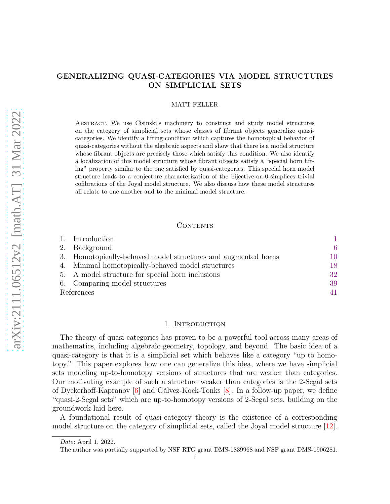# GENERALIZING QUASI-CATEGORIES VIA MODEL STRUCTURES ON SIMPLICIAL SETS

## MATT FELLER

Abstract. We use Cisinski's machinery to construct and study model structures on the category of simplicial sets whose classes of fibrant objects generalize quasicategories. We identify a lifting condition which captures the homotopical behavior of quasi-categories without the algebraic aspects and show that there is a model structure whose fibrant objects are precisely those which satisfy this condition. We also identify a localization of this model structure whose fibrant objects satisfy a "special horn lifting" property similar to the one satisfied by quasi-categories. This special horn model structure leads to a conjecture characterization of the bijective-on-0-simplices trivial cofibrations of the Joyal model structure. We also discuss how these model structures all relate to one another and to the minimal model structure.

## CONTENTS

|            | 1. Introduction                                               |    |
|------------|---------------------------------------------------------------|----|
|            | 2. Background                                                 | 6  |
|            | 3. Homotopically-behaved model structures and augmented horns | 10 |
|            | 4. Minimal homotopically-behaved model structures             | 18 |
|            | 5. A model structure for special horn inclusions              | 32 |
|            | 6. Comparing model structures                                 | 39 |
| References |                                                               | 41 |

## 1. INTRODUCTION

<span id="page-0-0"></span>The theory of quasi-categories has proven to be a powerful tool across many areas of mathematics, including algebraic geometry, topology, and beyond. The basic idea of a quasi-category is that it is a simplicial set which behaves like a category "up to homotopy." This paper explores how one can generalize this idea, where we have simplicial sets modeling up-to-homotopy versions of structures that are weaker than categories. Our motivating example of such a structure weaker than categories is the 2-Segal sets of Dyckerhoff-Kapranov  $[6]$  and Gálvez-Kock-Tonks  $[8]$ . In a follow-up paper, we define "quasi-2-Segal sets" which are up-to-homotopy versions of 2-Segal sets, building on the groundwork laid here.

A foundational result of quasi-category theory is the existence of a corresponding model structure on the category of simplicial sets, called the Joyal model structure [\[12\]](#page-40-3).

Date: April 1, 2022.

The author was partially supported by NSF RTG grant DMS-1839968 and NSF grant DMS-1906281.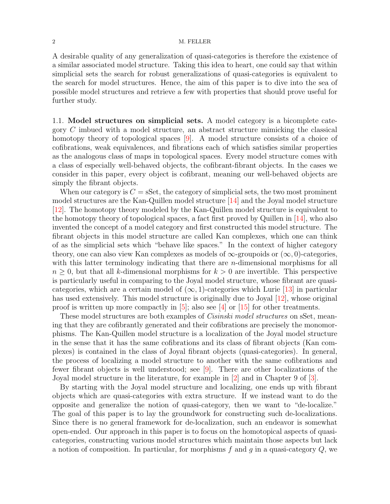A desirable quality of any generalization of quasi-categories is therefore the existence of a similar associated model structure. Taking this idea to heart, one could say that within simplicial sets the search for robust generalizations of quasi-categories is equivalent to the search for model structures. Hence, the aim of this paper is to dive into the sea of possible model structures and retrieve a few with properties that should prove useful for further study.

<span id="page-1-0"></span>1.1. Model structures on simplicial sets. A model category is a bicomplete category C imbued with a model structure, an abstract structure mimicking the classical homotopy theory of topological spaces [\[9\]](#page-40-4). A model structure consists of a choice of cofibrations, weak equivalences, and fibrations each of which satisfies similar properties as the analogous class of maps in topological spaces. Every model structure comes with a class of especially well-behaved objects, the cofibrant-fibrant objects. In the cases we consider in this paper, every object is cofibrant, meaning our well-behaved objects are simply the fibrant objects.

When our category is  $C = \text{SSet}$ , the category of simplicial sets, the two most prominent model structures are the Kan-Quillen model structure [\[14\]](#page-41-0) and the Joyal model structure [\[12\]](#page-40-3). The homotopy theory modeled by the Kan-Quillen model structure is equivalent to the homotopy theory of topological spaces, a fact first proved by Quillen in  $[14]$ , who also invented the concept of a model category and first constructed this model structure. The fibrant objects in this model structure are called Kan complexes, which one can think of as the simplicial sets which "behave like spaces." In the context of higher category theory, one can also view Kan complexes as models of  $\infty$ -groupoids or  $(\infty, 0)$ -categories, with this latter terminology indicating that there are *n*-dimensional morphisms for all  $n \geq 0$ , but that all k-dimensional morphisms for  $k > 0$  are invertible. This perspective is particularly useful in comparing to the Joyal model structure, whose fibrant are quasicategories, which are a certain model of  $(\infty, 1)$ -categories which Lurie [\[13\]](#page-41-1) in particular has used extensively. This model structure is originally due to Joyal [\[12\]](#page-40-3), whose original proof is written up more compactly in  $[5]$ ; also see  $[4]$  or  $[15]$  for other treatments.

These model structures are both examples of *Cisinski model structures* on sSet, meaning that they are cofibrantly generated and their cofibrations are precisely the monomorphisms. The Kan-Quillen model structure is a localization of the Joyal model structure in the sense that it has the same cofibrations and its class of fibrant objects (Kan complexes) is contained in the class of Joyal fibrant objects (quasi-categories). In general, the process of localizing a model structure to another with the same cofibrations and fewer fibrant objects is well understood; see [\[9\]](#page-40-4). There are other localizations of the Joyal model structure in the literature, for example in [\[2\]](#page-40-7) and in Chapter 9 of [\[3\]](#page-40-8).

By starting with the Joyal model structure and localizing, one ends up with fibrant objects which are quasi-categories with extra structure. If we instead want to do the opposite and generalize the notion of quasi-category, then we want to "de-localize." The goal of this paper is to lay the groundwork for constructing such de-localizations. Since there is no general framework for de-localization, such an endeavor is somewhat open-ended. Our approach in this paper is to focus on the homotopical aspects of quasicategories, constructing various model structures which maintain those aspects but lack a notion of composition. In particular, for morphisms  $f$  and  $g$  in a quasi-category  $Q$ , we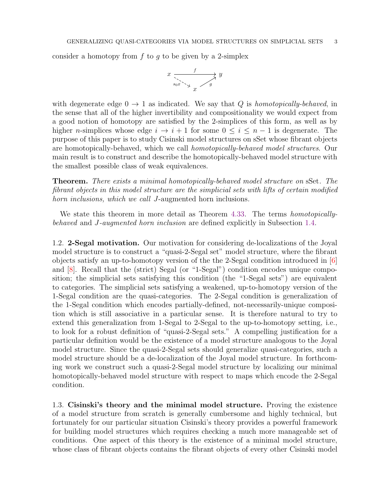consider a homotopy from f to g to be given by a 2-simplex

$$
x \xrightarrow[s_0 x \searrow s_1]{f} y
$$

with degenerate edge  $0 \rightarrow 1$  as indicated. We say that Q is *homotopically-behaved*, in the sense that all of the higher invertibility and compositionality we would expect from a good notion of homotopy are satisfied by the 2-simplices of this form, as well as by higher n-simplices whose edge  $i \to i+1$  for some  $0 \leq i \leq n-1$  is degenerate. The purpose of this paper is to study Cisinski model structures on sSet whose fibrant objects are homotopically-behaved, which we call homotopically-behaved model structures. Our main result is to construct and describe the homotopically-behaved model structure with the smallest possible class of weak equivalences.

**Theorem.** There exists a minimal homotopically-behaved model structure on sSet. The fibrant objects in this model structure are the simplicial sets with lifts of certain modified horn inclusions, which we call J-augmented horn inclusions.

We state this theorem in more detail as Theorem [4.33.](#page-30-0) The terms *homotopically*behaved and J-augmented horn inclusion are defined explicitly in Subsection [1.4.](#page-3-0)

1.2. 2-Segal motivation. Our motivation for considering de-localizations of the Joyal model structure is to construct a "quasi-2-Segal set" model structure, where the fibrant objects satisfy an up-to-homotopy version of the the 2-Segal condition introduced in [\[6\]](#page-40-1) and [\[8\]](#page-40-2). Recall that the (strict) Segal (or "1-Segal") condition encodes unique composition; the simplicial sets satisfying this condition (the "1-Segal sets") are equivalent to categories. The simplicial sets satisfying a weakened, up-to-homotopy version of the 1-Segal condition are the quasi-categories. The 2-Segal condition is generalization of the 1-Segal condition which encodes partially-defined, not-necessarily-unique composition which is still associative in a particular sense. It is therefore natural to try to extend this generalization from 1-Segal to 2-Segal to the up-to-homotopy setting, i.e., to look for a robust definition of "quasi-2-Segal sets." A compelling justification for a particular definition would be the existence of a model structure analogous to the Joyal model structure. Since the quasi-2-Segal sets should generalize quasi-categories, such a model structure should be a de-localization of the Joyal model structure. In forthcoming work we construct such a quasi-2-Segal model structure by localizing our minimal homotopically-behaved model structure with respect to maps which encode the 2-Segal condition.

1.3. Cisinski's theory and the minimal model structure. Proving the existence of a model structure from scratch is generally cumbersome and highly technical, but fortunately for our particular situation Cisinski's theory provides a powerful framework for building model structures which requires checking a much more manageable set of conditions. One aspect of this theory is the existence of a minimal model structure, whose class of fibrant objects contains the fibrant objects of every other Cisinski model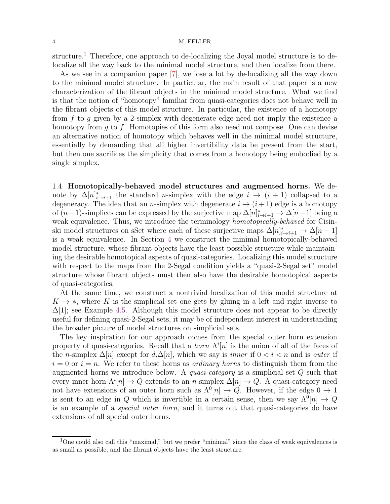structure.<sup>[1](#page-3-1)</sup> Therefore, one approach to de-localizing the Joyal model structure is to delocalize all the way back to the minimal model structure, and then localize from there.

As we see in a companion paper [\[7\]](#page-40-9), we lose a lot by de-localizing all the way down to the minimal model structure. In particular, the main result of that paper is a new characterization of the fibrant objects in the minimal model structure. What we find is that the notion of "homotopy" familiar from quasi-categories does not behave well in the fibrant objects of this model structure. In particular, the existence of a homotopy from  $f$  to  $g$  given by a 2-simplex with degenerate edge need not imply the existence a homotopy from  $q$  to  $f$ . Homotopies of this form also need not compose. One can devise an alternative notion of homotopy which behaves well in the minimal model structure, essentially by demanding that all higher invertibility data be present from the start, but then one sacrifices the simplicity that comes from a homotopy being embodied by a single simplex.

<span id="page-3-0"></span>1.4. Homotopically-behaved model structures and augmented horns. We denote by  $\Delta[n]_{i\to i+1}^*$  the standard *n*-simplex with the edge  $i \to (i+1)$  collapsed to a degeneracy. The idea that an *n*-simplex with degenerate  $i \rightarrow (i+1)$  edge is a homotopy of  $(n-1)$ -simplices can be expressed by the surjective map  $\Delta[n]_{i\to i+1}^* \to \Delta[n-1]$  being a weak equivalence. Thus, we introduce the terminology *homotopically-behaved* for Cisinski model structures on sSet where each of these surjective maps  $\Delta[n]_{i\to i+1}^* \to \Delta[n-1]$ is a weak equivalence. In Section [4](#page-17-0) we construct the minimal homotopically-behaved model structure, whose fibrant objects have the least possible structure while maintaining the desirable homotopical aspects of quasi-categories. Localizing this model structure with respect to the maps from the 2-Segal condition yields a "quasi-2-Segal set" model structure whose fibrant objects must then also have the desirable homotopical aspects of quasi-categories.

At the same time, we construct a nontrivial localization of this model structure at  $K \to *$ , where K is the simplicial set one gets by gluing in a left and right inverse to  $\Delta[1]$ ; see Example [4.5.](#page-18-0) Although this model structure does not appear to be directly useful for defining quasi-2-Segal sets, it may be of independent interest in understanding the broader picture of model structures on simplicial sets.

The key inspiration for our approach comes from the special outer horn extension property of quasi-categories. Recall that a *horn*  $\Lambda^{i}[n]$  is the union of all of the faces of the n-simplex  $\Delta[n]$  except for  $d_i\Delta[n]$ , which we say is *inner* if  $0 < i < n$  and is *outer* if  $i = 0$  or  $i = n$ . We refer to these horns as *ordinary horns* to distinguish them from the augmented horns we introduce below. A quasi-category is a simplicial set Q such that every inner horn  $\Lambda^{i}[n] \to Q$  extends to an *n*-simplex  $\Delta[n] \to Q$ . A quasi-category need not have extensions of an outer horn such as  $\Lambda^{0}[n] \to Q$ . However, if the edge  $0 \to 1$ is sent to an edge in Q which is invertible in a certain sense, then we say  $\Lambda^0[n] \to Q$ is an example of a special outer horn, and it turns out that quasi-categories do have extensions of all special outer horns.

<span id="page-3-1"></span><sup>&</sup>lt;sup>1</sup>One could also call this "maximal," but we prefer "minimal" since the class of weak equivalences is as small as possible, and the fibrant objects have the least structure.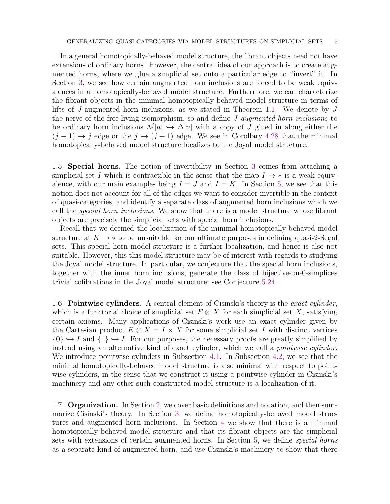In a general homotopically-behaved model structure, the fibrant objects need not have extensions of ordinary horns. However, the central idea of our approach is to create augmented horns, where we glue a simplicial set onto a particular edge to "invert" it. In Section [3,](#page-9-0) we see how certain augmented horn inclusions are forced to be weak equivalences in a homotopically-behaved model structure. Furthermore, we can characterize the fibrant objects in the minimal homotopically-behaved model structure in terms of lifts of J-augmented horn inclusions, as we stated in Theorem [1.1.](#page-1-0) We denote by J the nerve of the free-living isomorphism, so and define J-augmented horn inclusions to be ordinary horn inclusions  $\Lambda^{j}[n] \hookrightarrow \Delta[n]$  with a copy of J glued in along either the  $(j-1) \rightarrow j$  edge or the  $j \rightarrow (j+1)$  edge. We see in Corollary [4.28](#page-28-0) that the minimal homotopically-behaved model structure localizes to the Joyal model structure.

1.5. Special horns. The notion of invertibility in Section [3](#page-9-0) comes from attaching a simplicial set I which is contractible in the sense that the map  $I \rightarrow *$  is a weak equivalence, with our main examples being  $I = J$  and  $I = K$ . In Section [5,](#page-31-0) we see that this notion does not account for all of the edges we want to consider invertible in the context of quasi-categories, and identify a separate class of augmented horn inclusions which we call the special horn inclusions. We show that there is a model structure whose fibrant objects are precisely the simplicial sets with special horn inclusions.

Recall that we deemed the localization of the minimal homotopically-behaved model structure at  $K \to *$  to be unsuitable for our ultimate purposes in defining quasi-2-Segal sets. This special horn model structure is a further localization, and hence is also not suitable. However, this this model structure may be of interest with regards to studying the Joyal model structure. In particular, we conjecture that the special horn inclusions, together with the inner horn inclusions, generate the class of bijective-on-0-simplices trivial cofibrations in the Joyal model structure; see Conjecture [5.24.](#page-37-0)

1.6. Pointwise cylinders. A central element of Cisinski's theory is the exact cylinder, which is a functorial choice of simplicial set  $E \otimes X$  for each simplicial set X, satisfying certain axioms. Many applications of Cisinski's work use an exact cylinder given by the Cartesian product  $E \otimes X = I \times X$  for some simplicial set I with distinct vertices  $\{0\} \hookrightarrow I$  and  $\{1\} \hookrightarrow I$ . For our purposes, the necessary proofs are greatly simplified by instead using an alternative kind of exact cylinder, which we call a pointwise cylinder. We introduce pointwise cylinders in Subsection [4.1.](#page-17-1) In Subsection [4.2,](#page-18-1) we see that the minimal homotopically-behaved model structure is also minimal with respect to pointwise cylinders, in the sense that we construct it using a pointwise cylinder in Cisinski's machinery and any other such constructed model structure is a localization of it.

1.7. Organization. In Section [2,](#page-5-0) we cover basic definitions and notation, and then summarize Cisinski's theory. In Section [3,](#page-9-0) we define homotopically-behaved model structures and augmented horn inclusions. In Section [4](#page-17-0) we show that there is a minimal homotopically-behaved model structure and that its fibrant objects are the simplicial sets with extensions of certain augmented horns. In Section [5,](#page-31-0) we define special horns as a separate kind of augmented horn, and use Cisinski's machinery to show that there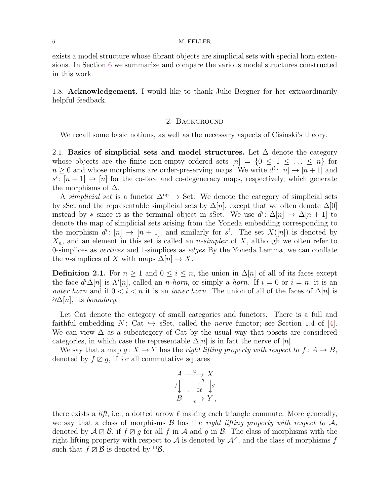exists a model structure whose fibrant objects are simplicial sets with special horn extensions. In Section [6](#page-38-0) we summarize and compare the various model structures constructed in this work.

<span id="page-5-0"></span>1.8. Acknowledgement. I would like to thank Julie Bergner for her extraordinarily helpful feedback.

## 2. Background

We recall some basic notions, as well as the necessary aspects of Cisinski's theory.

2.1. Basics of simplicial sets and model structures. Let  $\Delta$  denote the category whose objects are the finite non-empty ordered sets  $[n] = \{0 \leq 1 \leq ... \leq n\}$  for  $n \geq 0$  and whose morphisms are order-preserving maps. We write  $d^i$ :  $[n] \rightarrow [n+1]$  and  $s^i$ :  $[n+1] \rightarrow [n]$  for the co-face and co-degeneracy maps, respectively, which generate the morphisms of  $\Delta$ .

A simplicial set is a functor  $\Delta^{op} \to$  Set. We denote the category of simplicial sets by sSet and the representable simplicial sets by  $\Delta[n]$ , except that we often denote  $\Delta[0]$ instead by  $*$  since it is the terminal object in sSet. We use  $d^i: \Delta[n] \to \Delta[n+1]$  to denote the map of simplicial sets arising from the Yoneda embedding corresponding to the morphism  $d^i: [n] \to [n+1]$ , and similarly for  $s^i$ . The set  $X([n])$  is denoted by  $X_n$ , and an element in this set is called an *n-simplex* of X, although we often refer to 0-simplices as *vertices* and 1-simplices as *edges* By the Yoneda Lemma, we can conflate the *n*-simplices of X with maps  $\Delta[n] \to X$ .

**Definition 2.1.** For  $n \geq 1$  and  $0 \leq i \leq n$ , the union in  $\Delta[n]$  of all of its faces except the face  $d^i\Delta[n]$  is  $\Lambda^i[n]$ , called an *n*-horn, or simply a horn. If  $i=0$  or  $i=n$ , it is an outer horn and if  $0 < i < n$  it is an *inner horn*. The union of all of the faces of  $\Delta[n]$  is  $\partial \Delta[n]$ , its boundary.

Let Cat denote the category of small categories and functors. There is a full and faithful embedding  $N:$  Cat  $\hookrightarrow$  sSet, called the *nerve* functor; see Section 1.4 of [\[4\]](#page-40-6). We can view  $\Delta$  as a subcategory of Cat by the usual way that posets are considered categories, in which case the representable  $\Delta[n]$  is in fact the nerve of  $[n]$ .

We say that a map  $q: X \to Y$  has the right lifting property with respect to  $f: A \to B$ , denoted by  $f \mathbb{Z} q$ , if for all commutative squares

$$
A \xrightarrow{u} X
$$
  
\n
$$
f \downarrow \qquad \qquad \frac{1}{\exists \ell} \qquad \downarrow g
$$
  
\n
$$
B \xrightarrow{v} Y,
$$

there exists a *lift*, i.e., a dotted arrow  $\ell$  making each triangle commute. More generally, we say that a class of morphisms  $\mathcal B$  has the right lifting property with respect to  $\mathcal A$ , denoted by  $\mathcal{A} \boxtimes \mathcal{B}$ , if  $f \boxtimes g$  for all f in  $\mathcal{A}$  and q in  $\mathcal{B}$ . The class of morphisms with the right lifting property with respect to A is denoted by  $\mathcal{A}^{\mathbb{Z}}$ , and the class of morphisms f such that  $f \boxtimes \mathcal{B}$  is denoted by  $\boxtimes \mathcal{B}$ .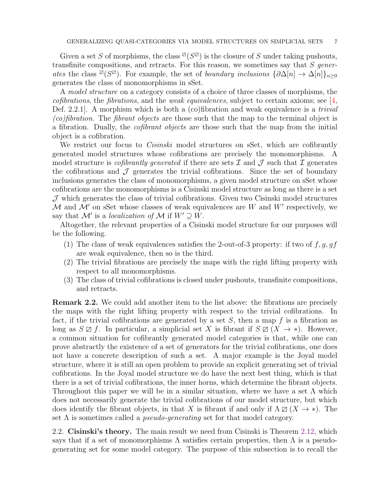Given a set S of morphisms, the class  $\mathbb{Z}(S^{\boxtimes})$  is the closure of S under taking pushouts, transfinite compositions, and retracts. For this reason, we sometimes say that  $S$  generates the class <sup> $\overline{\omega}(S^{\overline{\omega}})$ . For example, the set of boundary inclusions  $\{\partial \Delta[n] \to \Delta[n]\}_{n\geq 0}$ </sup> generates the class of monomorphisms in sSet.

A model structure on a category consists of a choice of three classes of morphisms, the cofibrations, the fibrations, and the weak equivalences, subject to certain axioms; see  $[4,$ Def. 2.2.1. A morphism which is both a  $(c)$  fibration and weak equivalence is a *trivial* (co)fibration. The fibrant objects are those such that the map to the terminal object is a fibration. Dually, the cofibrant objects are those such that the map from the initial object is a cofibration.

We restrict our focus to *Cisinski* model structures on sSet, which are cofibrantly generated model structures whose cofibrations are precisely the monomorphisms. A model structure is *cofibrantly generated* if there are sets  $\mathcal I$  and  $\mathcal J$  such that  $\mathcal I$  generates the cofibrations and  $\mathcal J$  generates the trivial cofibrations. Since the set of boundary inclusions generates the class of monomorphisms, a given model structure on sSet whose cofibrations are the monomorphisms is a Cisinski model structure as long as there is a set  $J$  which generates the class of trivial cofibrations. Given two Cisinski model structures  $\mathcal M$  and  $\mathcal M'$  on sSet whose classes of weak equivalences are W and W' respectively, we say that  $\mathcal{M}'$  is a localization of  $\mathcal{M}$  if  $W' \supseteq W$ .

Altogether, the relevant properties of a Cisinski model structure for our purposes will be the following.

- (1) The class of weak equivalences satisfies the 2-out-of-3 property: if two of  $f, g, gf$ are weak equivalence, then so is the third.
- (2) The trivial fibrations are precisely the maps with the right lifting property with respect to all monomorphisms.
- (3) The class of trivial cofibrations is closed under pushouts, transfinite compositions, and retracts.

Remark 2.2. We could add another item to the list above: the fibrations are precisely the maps with the right lifting property with respect to the trivial cofibrations. In fact, if the trivial cofibrations are generated by a set  $S$ , then a map f is a fibration as long as  $S \boxtimes f$ . In particular, a simplicial set X is fibrant if  $S \boxtimes (X \rightarrow *)$ . However, a common situation for cofibrantly generated model categories is that, while one can prove abstractly the existence of a set of generators for the trivial cofibrations, one does not have a concrete description of such a set. A major example is the Joyal model structure, where it is still an open problem to provide an explicit generating set of trivial cofibrations. In the Joyal model structure we do have the next best thing, which is that there is a set of trivial cofibrations, the inner horns, which determine the fibrant objects. Throughout this paper we will be in a similar situation, where we have a set  $\Lambda$  which does not necessarily generate the trivial cofibrations of our model structure, but which does identify the fibrant objects, in that X is fibrant if and only if  $\Lambda \boxtimes (X \to *)$ . The set  $\Lambda$  is sometimes called a *pseudo-generating* set for that model category.

2.2. Cisinski's theory. The main result we need from Cisinski is Theorem [2.12,](#page-9-1) which says that if a set of monomorphisms  $\Lambda$  satisfies certain properties, then  $\Lambda$  is a pseudogenerating set for some model category. The purpose of this subsection is to recall the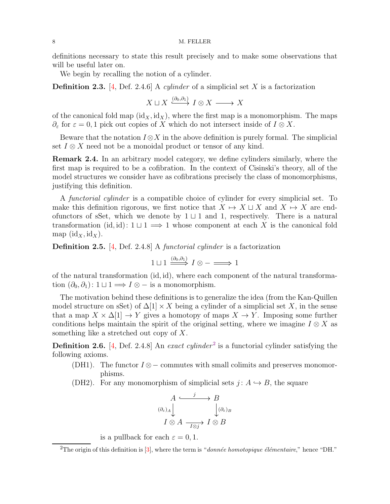definitions necessary to state this result precisely and to make some observations that will be useful later on.

We begin by recalling the notion of a cylinder.

**Definition 2.3.** [\[4,](#page-40-6) Def. 2.4.6] A *cylinder* of a simplicial set X is a factorization

$$
X \sqcup X \xrightarrow{(\partial_0, \partial_1)} I \otimes X \longrightarrow X
$$

of the canonical fold map  $(id_X, id_X)$ , where the first map is a monomorphism. The maps  $\partial_{\varepsilon}$  for  $\varepsilon = 0, 1$  pick out copies of X which do not intersect inside of  $I \otimes X$ .

Beware that the notation  $I \otimes X$  in the above definition is purely formal. The simplicial set  $I \otimes X$  need not be a monoidal product or tensor of any kind.

Remark 2.4. In an arbitrary model category, we define cylinders similarly, where the first map is required to be a cofibration. In the context of Cisinski's theory, all of the model structures we consider have as cofibrations precisely the class of monomorphisms, justifying this definition.

A functorial cylinder is a compatible choice of cylinder for every simplicial set. To make this definition rigorous, we first notice that  $X \mapsto X \sqcup X$  and  $X \mapsto X$  are endofunctors of sSet, which we denote by  $1 \sqcup 1$  and 1, respectively. There is a natural transformation (id, id):  $1 \sqcup 1 \implies 1$  whose component at each X is the canonical fold map  $(\mathrm{id}_X, \mathrm{id}_X)$ .

Definition 2.5. [\[4,](#page-40-6) Def. 2.4.8] A functorial cylinder is a factorization

$$
1 \sqcup 1 \xrightarrow{(\partial_0, \partial_1)} I \otimes - \longrightarrow 1
$$

of the natural transformation (id, id), where each component of the natural transformation  $(\partial_0, \partial_1)$ : 1 ⊔ 1  $\implies I \otimes -$  is a monomorphism.

The motivation behind these definitions is to generalize the idea (from the Kan-Quillen model structure on sSet) of  $\Delta[1] \times X$  being a cylinder of a simplicial set X, in the sense that a map  $X \times \Delta[1] \rightarrow Y$  gives a homotopy of maps  $X \rightarrow Y$ . Imposing some further conditions helps maintain the spirit of the original setting, where we imagine  $I \otimes X$  as something like a stretched out copy of X.

<span id="page-7-1"></span>**Definition [2](#page-7-0).6.** [\[4,](#page-40-6) Def. 2.4.8] An exact cylinder<sup>2</sup> is a functorial cylinder satisfying the following axioms.

- (DH1). The functor  $I \otimes -$  commutes with small colimits and preserves monomorphisms.
- (DH2). For any monomorphism of simplicial sets  $j: A \hookrightarrow B$ , the square

$$
A \xrightarrow{j} B
$$
  
\n
$$
(\partial_{\varepsilon})_A \downarrow \qquad \qquad \downarrow (\partial_{\varepsilon})_B
$$
  
\n
$$
I \otimes A \xrightarrow{\overline{I \otimes j}} I \otimes B
$$

is a pullback for each  $\varepsilon = 0, 1$ .

<span id="page-7-0"></span><sup>&</sup>lt;sup>2</sup>The origin of this definition is  $[3]$ , where the term is "donnée homotopique élémentaire," hence "DH."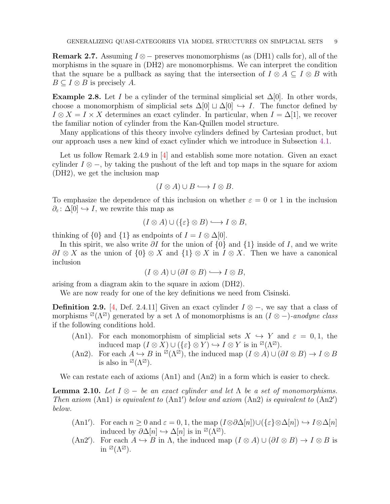<span id="page-8-0"></span>**Remark 2.7.** Assuming  $I \otimes -$  preserves monomorphisms (as (DH1) calls for), all of the morphisms in the square in (DH2) are monomorphisms. We can interpret the condition that the square be a pullback as saying that the intersection of  $I \otimes A \subseteq I \otimes B$  with  $B \subseteq I \otimes B$  is precisely A.

**Example 2.8.** Let I be a cylinder of the terminal simplicial set  $\Delta[0]$ . In other words, choose a monomorphism of simplicial sets  $\Delta[0] \cup \Delta[0] \hookrightarrow I$ . The functor defined by  $I \otimes X = I \times X$  determines an exact cylinder. In particular, when  $I = \Delta[1]$ , we recover the familiar notion of cylinder from the Kan-Quillen model structure.

Many applications of this theory involve cylinders defined by Cartesian product, but our approach uses a new kind of exact cylinder which we introduce in Subsection [4.1.](#page-17-1)

Let us follow Remark 2.4.9 in [\[4\]](#page-40-6) and establish some more notation. Given an exact cylinder  $I \otimes -$ , by taking the pushout of the left and top maps in the square for axiom (DH2), we get the inclusion map

$$
(I \otimes A) \cup B \longrightarrow I \otimes B.
$$

To emphasize the dependence of this inclusion on whether  $\varepsilon = 0$  or 1 in the inclusion  $\partial_{\varepsilon} : \Delta[0] \hookrightarrow I$ , we rewrite this map as

$$
(I \otimes A) \cup (\{\varepsilon\} \otimes B) \longrightarrow I \otimes B,
$$

thinking of  $\{0\}$  and  $\{1\}$  as endpoints of  $I = I \otimes \Delta[0]$ .

In this spirit, we also write  $\partial I$  for the union of  $\{0\}$  and  $\{1\}$  inside of I, and we write  $\partial I \otimes X$  as the union of  $\{0\} \otimes X$  and  $\{1\} \otimes X$  in  $I \otimes X$ . Then we have a canonical inclusion

$$
(I \otimes A) \cup (\partial I \otimes B) \longrightarrow I \otimes B,
$$

arising from a diagram akin to the square in axiom (DH2).

We are now ready for one of the key definitions we need from Cisinski.

<span id="page-8-1"></span>**Definition 2.9.** [\[4,](#page-40-6) Def. 2.4.11] Given an exact cylinder  $I \otimes -$ , we say that a class of morphisms <sup> $\varnothing(\Lambda^\varnothing)$ </sup> generated by a set  $\Lambda$  of monomorphisms is an  $(I \otimes -)$ -anodyne class if the following conditions hold.

- (An1). For each monomorphism of simplicial sets  $X \hookrightarrow Y$  and  $\varepsilon = 0, 1$ , the induced map  $(I \otimes X) \cup (\{\varepsilon\} \otimes Y) \hookrightarrow I \otimes Y$  is in  $\mathbb{Z}(\Lambda^{\mathbb{Z}})$ .
- (An2). For each  $A \hookrightarrow B$  in  $\mathbb{Z}(\Lambda^{\mathbb{Z}})$ , the induced map  $(I \otimes A) \cup (\partial I \otimes B) \to I \otimes B$ is also in  $\mathbb{Z}(\Lambda^\mathbb{Z})$ .

We can restate each of axioms (An1) and (An2) in a form which is easier to check.

<span id="page-8-2"></span>**Lemma 2.10.** Let  $I \otimes -$  be an exact cylinder and let  $\Lambda$  be a set of monomorphisms. Then axiom (An1) is equivalent to (An1') below and axiom (An2) is equivalent to (An2') below.

- $(An 1')$ . For each  $n \geq 0$  and  $\varepsilon = 0, 1$ , the map  $(I \otimes \partial \Delta[n]) \cup (\{\varepsilon\} \otimes \Delta[n]) \hookrightarrow I \otimes \Delta[n]$ induced by  $\partial \Delta[n] \hookrightarrow \Delta[n]$  is in  $\mathbb{Z}(\Lambda\mathbb{Z})$ .
- (An2<sup>'</sup>). For each  $A \hookrightarrow B$  in  $\Lambda$ , the induced map  $(I \otimes A) \cup (\partial I \otimes B) \to I \otimes B$  is in  $\mathbb{Z}(\Lambda^\mathbb{Z})$ .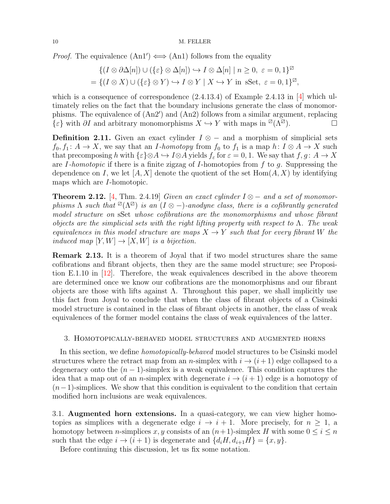*Proof.* The equivalence  $(An1') \iff (An1)$  follows from the equality

$$
\{(I \otimes \partial \Delta[n]) \cup (\{\varepsilon\} \otimes \Delta[n]) \hookrightarrow I \otimes \Delta[n] \mid n \ge 0, \ \varepsilon = 0, 1\}^{\boxtimes}
$$
  
= 
$$
\{(I \otimes X) \cup (\{\varepsilon\} \otimes Y) \hookrightarrow I \otimes Y \mid X \hookrightarrow Y \text{ in } sSet, \ \varepsilon = 0, 1\}^{\boxtimes},
$$

which is a consequence of correspondence  $(2.4.13.4)$  of Example 2.4.13 in [\[4\]](#page-40-6) which ultimately relies on the fact that the boundary inclusions generate the class of monomorphisms. The equivalence of (An2′ ) and (An2) follows from a similar argument, replacing  $\{\varepsilon\}$  with  $\partial I$  and arbitrary monomorphisms  $X \hookrightarrow Y$  with maps in  $\mathbb{Z}(\Lambda^{\mathbb{Z}})$ .

**Definition 2.11.** Given an exact cylinder  $I \otimes -$  and a morphism of simplicial sets  $f_0, f_1: A \to X$ , we say that an I-homotopy from  $f_0$  to  $f_1$  is a map  $h: I \otimes A \to X$  such that precomposing h with  $\{\varepsilon\} \otimes A \hookrightarrow I \otimes A$  yields  $f_{\varepsilon}$  for  $\varepsilon = 0, 1$ . We say that  $f, g \colon A \to X$ are I-homotopic if there is a finite zigzag of I-homotopies from  $f$  to  $g$ . Suppressing the dependence on I, we let  $[A, X]$  denote the quotient of the set  $\text{Hom}(A, X)$  by identifying maps which are I-homotopic.

<span id="page-9-1"></span>**Theorem 2.12.** [\[4,](#page-40-6) Thm. 2.4.19] Given an exact cylinder  $I \otimes -$  and a set of monomorphisms  $\Lambda$  such that  $\mathbb{Z}(\Lambda^{\boxtimes})$  is an  $(I \otimes -)$ -anodyne class, there is a cofibrantly generated model structure on sSet whose cofibrations are the monomorphisms and whose fibrant objects are the simplicial sets with the right lifting property with respect to  $\Lambda$ . The weak equivalences in this model structure are maps  $X \to Y$  such that for every fibrant W the induced map  $[Y, W] \to [X, W]$  is a bijection.

Remark 2.13. It is a theorem of Joyal that if two model structures share the same cofibrations and fibrant objects, then they are the same model structure; see Proposition E.1.10 in [\[12\]](#page-40-3). Therefore, the weak equivalences described in the above theorem are determined once we know our cofibrations are the monomorphisms and our fibrant objects are those with lifts against  $\Lambda$ . Throughout this paper, we shall implicitly use this fact from Joyal to conclude that when the class of fibrant objects of a Cisinski model structure is contained in the class of fibrant objects in another, the class of weak equivalences of the former model contains the class of weak equivalences of the latter.

## <span id="page-9-0"></span>3. Homotopically-behaved model structures and augmented horns

In this section, we define *homotopically-behaved* model structures to be Cisinski model structures where the retract map from an n-simplex with  $i \rightarrow (i+1)$  edge collapsed to a degeneracy onto the  $(n - 1)$ -simplex is a weak equivalence. This condition captures the idea that a map out of an n-simplex with degenerate  $i \rightarrow (i+1)$  edge is a homotopy of  $(n-1)$ -simplices. We show that this condition is equivalent to the condition that certain modified horn inclusions are weak equivalences.

3.1. Augmented horn extensions. In a quasi-category, we can view higher homotopies as simplices with a degenerate edge  $i \to i + 1$ . More precisely, for  $n \geq 1$ , a homotopy between *n*-simplices x, y consists of an  $(n+1)$ -simplex H with some  $0 \leq i \leq n$ such that the edge  $i \rightarrow (i+1)$  is degenerate and  $\{d_i H, d_{i+1} H\} = \{x, y\}.$ 

Before continuing this discussion, let us fix some notation.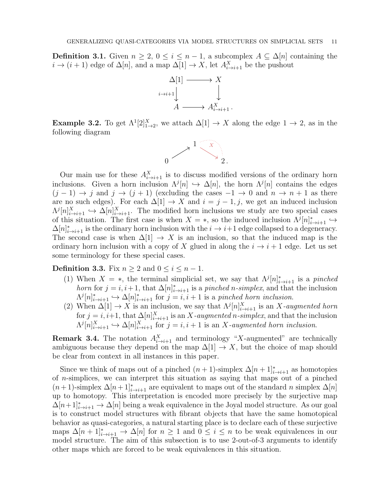**Definition 3.1.** Given  $n \geq 2$ ,  $0 \leq i \leq n-1$ , a subcomplex  $A \subseteq \Delta[n]$  containing the  $i \to (i+1)$  edge of  $\Delta[n]$ , and a map  $\Delta[1] \to X$ , let  $A_{i \to i+1}^X$  be the pushout



**Example 3.2.** To get  $\Lambda^1[2]^X_{1\to 2}$ , we attach  $\Delta[1] \to X$  along the edge  $1 \to 2$ , as in the following diagram



Our main use for these  $A_{i\to i+1}^X$  is to discuss modified versions of the ordinary horn inclusions. Given a horn inclusion  $\Lambda^{j}[n] \hookrightarrow \Delta[n]$ , the horn  $\Lambda^{j}[n]$  contains the edges  $(j-1) \rightarrow j$  and  $j \rightarrow (j+1)$  (excluding the cases  $-1 \rightarrow 0$  and  $n \rightarrow n+1$  as there are no such edges). For each  $\Delta[1] \rightarrow X$  and  $i = j - 1, j$ , we get an induced inclusion  $\Lambda^{j}[n]_{i\to i+1}^X \hookrightarrow \Delta[n]_{i\to i+1}^X$ . The modified horn inclusions we study are two special cases of this situation. The first case is when  $X = *$ , so the induced inclusion  $\Lambda^{j}[n]_{i\to i+1}^{*} \hookrightarrow$  $\Delta[n]^*_{i\to i+1}$  is the ordinary horn inclusion with the  $i\to i+1$  edge collapsed to a degeneracy. The second case is when  $\Delta[1] \rightarrow X$  is an inclusion, so that the induced map is the ordinary horn inclusion with a copy of X glued in along the  $i \to i + 1$  edge. Let us set some terminology for these special cases.

<span id="page-10-0"></span>**Definition 3.3.** Fix  $n \geq 2$  and  $0 \leq i \leq n-1$ .

- (1) When  $X = *$ , the terminal simplicial set, we say that  $\Lambda^{j}[n]_{i\to i+1}^{*}$  is a pinched horn for  $j = i, i+1$ , that  $\Delta[n]_{i\to i+1}^*$  is a pinched n-simplex, and that the inclusion  $\Lambda^{j}[n]_{i\to i+1}^{*} \hookrightarrow \Delta[n]_{i\to i+1}^{*}$  for  $j = i, i+1$  is a pinched horn inclusion.
- (2) When  $\Delta[1] \to X$  is an inclusion, we say that  $\Lambda^{j}[n]_{i\to i+1}^{X}$  is an X-augmented horn for  $j = i, i+1$ , that  $\Delta[n]_{i \to i+1}^X$  is an X-augmented n-simplex, and that the inclusion  $\Lambda^{j}[n]_{i\to i+1}^{X} \hookrightarrow \Delta[n]_{i\to i+1}^{X}$  for  $j = i, i+1$  is an X-augmented horn inclusion.

**Remark 3.4.** The notation  $A_{i\to i+1}^X$  and terminology "X-augmented" are technically ambiguous because they depend on the map  $\Delta[1] \to X$ , but the choice of map should be clear from context in all instances in this paper.

Since we think of maps out of a pinched  $(n+1)$ -simplex  $\Delta[n+1]^*_{i\to i+1}$  as homotopies of  $n$ -simplices, we can interpret this situation as saying that maps out of a pinched  $(n+1)$ -simplex  $\Delta[n+1]^*_{i\to i+1}$  are equivalent to maps out of the standard n simplex  $\Delta[n]$ up to homotopy. This interpretation is encoded more precisely by the surjective map  $\Delta[n+1]^*_{i\to i+1} \to \Delta[n]$  being a weak equivalence in the Joyal model structure. As our goal is to construct model structures with fibrant objects that have the same homotopical behavior as quasi-categories, a natural starting place is to declare each of these surjective maps  $\Delta[n+1]^*_{i\to i+1}$   $\to \Delta[n]$  for  $n \geq 1$  and  $0 \leq i \leq n$  to be weak equivalences in our model structure. The aim of this subsection is to use 2-out-of-3 arguments to identify other maps which are forced to be weak equivalences in this situation.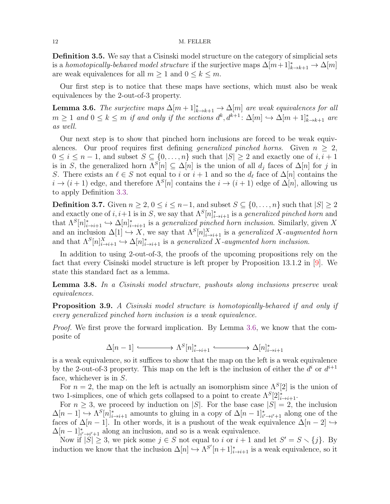Definition 3.5. We say that a Cisinski model structure on the category of simplicial sets is a homotopically-behaved model structure if the surjective maps  $\Delta[m+1]^*_{k\to k+1} \to \Delta[m]$ are weak equivalences for all  $m \geq 1$  and  $0 \leq k \leq m$ .

Our first step is to notice that these maps have sections, which must also be weak equivalences by the 2-out-of-3 property.

<span id="page-11-0"></span>**Lemma 3.6.** The surjective maps  $\Delta[m+1]^*_{k\to k+1} \to \Delta[m]$  are weak equivalences for all  $m \geq 1$  and  $0 \leq k \leq m$  if and only if the sections  $d^k, d^{k+1}: \Delta[m] \hookrightarrow \Delta[m+1]_{k \to k+1}^*$  are as well.

Our next step is to show that pinched horn inclusions are forced to be weak equivalences. Our proof requires first defining *generalized pinched horns*. Given  $n \geq 2$ ,  $0 \leq i \leq n-1$ , and subset  $S \subseteq \{0, \ldots, n\}$  such that  $|S| \geq 2$  and exactly one of  $i, i+1$ is in S, the generalized horn  $\Lambda^{S}[n] \subseteq \Delta[n]$  is the union of all  $d_j$  faces of  $\Delta[n]$  for j in S. There exists an  $\ell \in S$  not equal to i or  $i+1$  and so the  $d_{\ell}$  face of  $\Delta[n]$  contains the  $i \to (i+1)$  edge, and therefore  $\Lambda^{S}[n]$  contains the  $i \to (i+1)$  edge of  $\Delta[n]$ , allowing us to apply Definition [3.3.](#page-10-0)

**Definition 3.7.** Given  $n \geq 2, 0 \leq i \leq n-1$ , and subset  $S \subseteq \{0, ..., n\}$  such that  $|S| \geq 2$ and exactly one of  $i, i+1$  is in S, we say that  $\Lambda^S[n]_{i\to i+1}^*$  is a *generalized pinched horn* and that  $\Lambda^S[n]_{i\to i+1}^* \hookrightarrow \Delta[n]_{i\to i+1}^*$  is a *generalized pinched horn inclusion*. Similarly, given X and an inclusion  $\Delta[1] \hookrightarrow X$ , we say that  $\Lambda^{S}[n]_{i\to i+1}^{X}$  is a *generalized* X-augmented horn and that  $\Lambda^{S}[n]_{i\to i+1}^X \hookrightarrow \Delta[n]_{i\to i+1}^*$  is a generalized X-augmented horn inclusion.

In addition to using 2-out-of-3, the proofs of the upcoming propositions rely on the fact that every Cisinski model structure is left proper by Proposition 13.1.2 in [\[9\]](#page-40-4). We state this standard fact as a lemma.

<span id="page-11-1"></span>Lemma 3.8. In a Cisinski model structure, pushouts along inclusions preserve weak equivalences.

<span id="page-11-2"></span>**Proposition 3.9.** A Cisinski model structure is homotopically-behaved if and only if every generalized pinched horn inclusion is a weak equivalence.

Proof. We first prove the forward implication. By Lemma [3.6,](#page-11-0) we know that the composite of

 $\Delta[n-1] \longleftrightarrow \Lambda^S[n]_{i\to i+1}^* \longleftrightarrow \Delta[n]_{i\to i+1}^*$ 

is a weak equivalence, so it suffices to show that the map on the left is a weak equivalence by the 2-out-of-3 property. This map on the left is the inclusion of either the  $d^i$  or  $d^{i+1}$ face, whichever is in S.

For  $n = 2$ , the map on the left is actually an isomorphism since  $\Lambda^{S}[2]$  is the union of two 1-simplices, one of which gets collapsed to a point to create  $\Lambda^S[2]^*_{i \to i+1}$ .

For  $n \geq 3$ , we proceed by induction on |S|. For the base case  $|S| = 2$ , the inclusion  $\Delta[n-1] \hookrightarrow \Lambda^S[n]_{i\to i+1}^*$  amounts to gluing in a copy of  $\Delta[n-1]_{i'\to i'+1}^*$  along one of the faces of  $\Delta[n-1]$ . In other words, it is a pushout of the weak equivalence  $\Delta[n-2] \hookrightarrow$  $\Delta[n-1]^*_{i'\to i'+1}$  along an inclusion, and so is a weak equivalence.

Now if  $|S| \geq 3$ , we pick some  $j \in S$  not equal to i or  $i+1$  and let  $S' = S \setminus \{j\}$ . By induction we know that the inclusion  $\Delta[n] \hookrightarrow \Lambda^{S'}[n+1]^*_{i\to i+1}$  is a weak equivalence, so it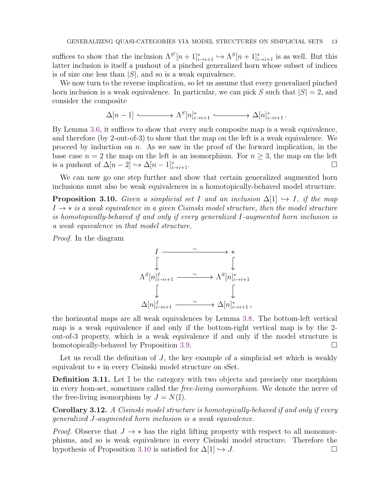suffices to show that the inclusion  $\Lambda^{S'}[n+1]^*_{i\to i+1} \hookrightarrow \Lambda^S[n+1]^*_{i\to i+1}$  is as well. But this latter inclusion is itself a pushout of a pinched generalized horn whose subset of indices is of size one less than  $|S|$ , and so is a weak equivalence.

We now turn to the reverse implication, so let us assume that every generalized pinched horn inclusion is a weak equivalence. In particular, we can pick S such that  $|S| = 2$ , and consider the composite

$$
\Delta[n-1] \xrightarrow{\sim} \Lambda^{S}[n]_{i \to i+1}^* \xrightarrow{\sim} \Delta[n]_{i \to i+1}^*.
$$

By Lemma [3.6,](#page-11-0) it suffices to show that every such composite map is a weak equivalence, and therefore (by 2-out-of-3) to show that the map on the left is a weak equivalence. We proceed by induction on  $n$ . As we saw in the proof of the forward implication, in the base case  $n = 2$  the map on the left is an isomorphism. For  $n \geq 3$ , the map on the left is a pushout of  $\Delta[n-2] \hookrightarrow \Delta[n-1]_{i\to i+1}^*$ .  $\overrightarrow{i\rightarrow}i+1$ .

We can now go one step further and show that certain generalized augmented horn inclusions must also be weak equivalences in a homotopically-behaved model structure.

<span id="page-12-0"></span>**Proposition 3.10.** Given a simplicial set I and an inclusion  $\Delta[1] \hookrightarrow I$ , if the map  $I \rightarrow *$  is a weak equivalence in a given Cisinski model structure, then the model structure is homotopically-behaved if and only if every generalized I-augmented horn inclusion is a weak equivalence in that model structure.

Proof. In the diagram



the horizontal maps are all weak equivalences by Lemma [3.8.](#page-11-1) The bottom-left vertical map is a weak equivalence if and only if the bottom-right vertical map is by the 2 out-of-3 property, which is a weak equivalence if and only if the model structure is homotopically-behaved by Proposition [3.9.](#page-11-2)

Let us recall the definition of  $J$ , the key example of a simplicial set which is weakly equivalent to ∗ in every Cisinski model structure on sSet.

**Definition 3.11.** Let  $\mathbb{I}$  be the category with two objects and precisely one morphism in every hom-set, sometimes called the free-living isomorphism. We denote the nerve of the free-living isomorphism by  $J = N(\mathbb{I}).$ 

<span id="page-12-1"></span>Corollary 3.12. A Cisinski model structure is homotopically-behaved if and only if every generalized J-augmented horn inclusion is a weak equivalence.

*Proof.* Observe that  $J \rightarrow *$  has the right lifting property with respect to all monomorphisms, and so is weak equivalence in every Cisinski model structure. Therefore the hypothesis of Proposition [3.10](#page-12-0) is satisfied for  $\Delta[1] \hookrightarrow J$ .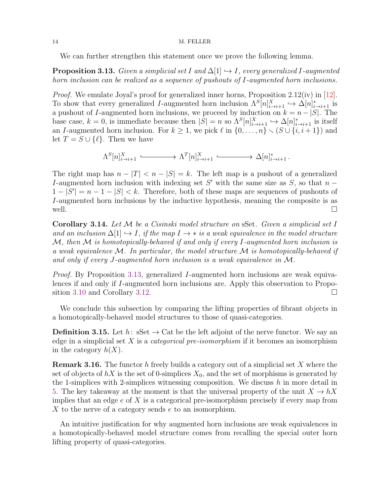We can further strengthen this statement once we prove the following lemma.

<span id="page-13-0"></span>**Proposition 3.13.** Given a simplicial set I and  $\Delta[1] \hookrightarrow I$ , every generalized I-augmented horn inclusion can be realized as a sequence of pushouts of I-augmented horn inclusions.

Proof. We emulate Joyal's proof for generalized inner horns, Proposition 2.12(iv) in [\[12\]](#page-40-3). To show that every generalized *I*-augmented horn inclusion  $\Lambda^{S}[n]_{i\to i+1}^{X} \hookrightarrow \Delta[n]_{i\to i+1}^{*}$  is a pushout of I-augmented horn inclusions, we proceed by induction on  $k = n - |S|$ . The base case,  $k = 0$ , is immediate because then  $|S| = n$  so  $\Lambda^{S}[n]_{i \to i+1}^{X} \hookrightarrow \Delta[n]_{i \to i+1}^{*}$  is itself an I-augmented horn inclusion. For  $k \geq 1$ , we pick  $\ell$  in  $\{0, \ldots, n\} \setminus (S \cup \{i, i + 1\})$  and let  $T = S \cup \{ \ell \}.$  Then we have

$$
\Lambda^{S}[n]_{i\to i+1}^{X} \xrightarrow{\qquad} \Lambda^{T}[n]_{i\to i+1}^{X} \xrightarrow{\qquad} \Delta[n]_{i\to i+1}^{*}.
$$

The right map has  $n - |T| < n - |S| = k$ . The left map is a pushout of a generalized I-augmented horn inclusion with indexing set  $S'$  with the same size as  $S$ , so that  $n 1-|S'|=n-1-|S|< k$ . Therefore, both of these maps are sequences of pushouts of I-augmented horn inclusions by the inductive hypothesis, meaning the composite is as well.  $\Box$ 

<span id="page-13-1"></span>**Corollary 3.14.** Let  $\mathcal M$  be a Cisinski model structure on sSet. Given a simplicial set I and an inclusion  $\Delta[1] \hookrightarrow I$ , if the map  $I \to *$  is a weak equivalence in the model structure  $\mathcal{M}$ , then  $\mathcal M$  is homotopically-behaved if and only if every I-augmented horn inclusion is a weak equivalence  $\mathcal M$ . In particular, the model structure  $\mathcal M$  is homotopically-behaved if and only if every J-augmented horn inclusion is a weak equivalence in M.

Proof. By Proposition [3.13,](#page-13-0) generalized I-augmented horn inclusions are weak equivalences if and only if I-augmented horn inclusions are. Apply this observation to Propo-sition [3.10](#page-12-0) and Corollary [3.12.](#page-12-1)

We conclude this subsection by comparing the lifting properties of fibrant objects in a homotopically-behaved model structures to those of quasi-categories.

**Definition 3.15.** Let  $h: S$  is  $\rightarrow$  Cat be the left adjoint of the nerve functor. We say an edge in a simplicial set X is a *categorical pre-isomorphism* if it becomes an isomorphism in the category  $h(X)$ .

**Remark 3.16.** The functor h freely builds a category out of a simplicial set X where the set of objects of  $hX$  is the set of 0-simplices  $X_0$ , and the set of morphisms is generated by the 1-simplices with 2-simplices witnessing composition. We discuss  $h$  in more detail in [5.](#page-31-0) The key takeaway at the moment is that the universal property of the unit  $X \to hX$ implies that an edge  $e$  of X is a categorical pre-isomorphism precisely if every map from X to the nerve of a category sends  $e$  to an isomorphism.

An intuitive justification for why augmented horn inclusions are weak equivalences in a homotopically-behaved model structure comes from recalling the special outer horn lifting property of quasi-categories.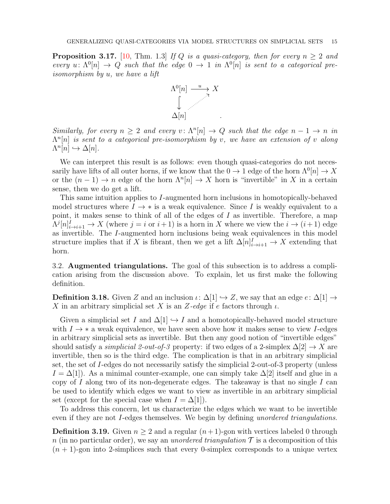**Proposition 3.17.** [\[10,](#page-40-10) Thm. 1.3] If Q is a quasi-category, then for every  $n \geq 2$  and every  $u: \Lambda^0[n] \to Q$  such that the edge  $0 \to 1$  in  $\Lambda^0[n]$  is sent to a categorical preisomorphism by u, we have a lift



Similarly, for every  $n \geq 2$  and every  $v: \Lambda^n[n] \to Q$  such that the edge  $n-1 \to n$  in  $\Lambda^{n}[n]$  is sent to a categorical pre-isomorphism by v, we have an extension of v along  $\Lambda^n[n] \hookrightarrow \Delta[n].$ 

We can interpret this result is as follows: even though quasi-categories do not necessarily have lifts of all outer horns, if we know that the  $0 \to 1$  edge of the horn  $\Lambda^0[n] \to X$ or the  $(n-1) \to n$  edge of the horn  $\Lambda^{n}[n] \to X$  horn is "invertible" in X in a certain sense, then we do get a lift.

This same intuition applies to I-augmented horn inclusions in homotopically-behaved model structures where  $I \rightarrow *$  is a weak equivalence. Since I is weakly equivalent to a point, it makes sense to think of all of the edges of I as invertible. Therefore, a map  $\Lambda^{j}[n]_{i\to i+1}^{I} \to X$  (where  $j = i$  or  $i+1$ ) is a horn in X where we view the  $i \to (i+1)$  edge as invertible. The I-augmented horn inclusions being weak equivalences in this model structure implies that if X is fibrant, then we get a lift  $\Delta[n]_{i\to i+1}^I \to X$  extending that horn.

3.2. Augmented triangulations. The goal of this subsection is to address a complication arising from the discussion above. To explain, let us first make the following definition.

**Definition 3.18.** Given Z and an inclusion  $\iota: \Delta[1] \hookrightarrow Z$ , we say that an edge  $e: \Delta[1] \rightarrow$ X in an arbitrary simplicial set X is an Z-edge if e factors through  $\iota$ .

Given a simplicial set I and  $\Delta[1] \hookrightarrow I$  and a homotopically-behaved model structure with  $I \rightarrow *$  a weak equivalence, we have seen above how it makes sense to view I-edges in arbitrary simplicial sets as invertible. But then any good notion of "invertible edges" should satisfy a *simplicial 2-out-of-3* property: if two edges of a 2-simplex  $\Delta[2] \rightarrow X$  are invertible, then so is the third edge. The complication is that in an arbitrary simplicial set, the set of I-edges do not necessarily satisfy the simplicial 2-out-of-3 property (unless  $I = \Delta[1]$ . As a minimal counter-example, one can simply take  $\Delta[2]$  itself and glue in a copy of  $I$  along two of its non-degenerate edges. The takeaway is that no single  $I$  can be used to identify which edges we want to view as invertible in an arbitrary simplicial set (except for the special case when  $I = \Delta[1]$ ).

To address this concern, let us characterize the edges which we want to be invertible even if they are not I-edges themselves. We begin by defining unordered triangulations.

**Definition 3.19.** Given  $n > 2$  and a regular  $(n+1)$ -gon with vertices labeled 0 through n (in no particular order), we say an *unordered triangulation*  $\mathcal T$  is a decomposition of this  $(n + 1)$ -gon into 2-simplices such that every 0-simplex corresponds to a unique vertex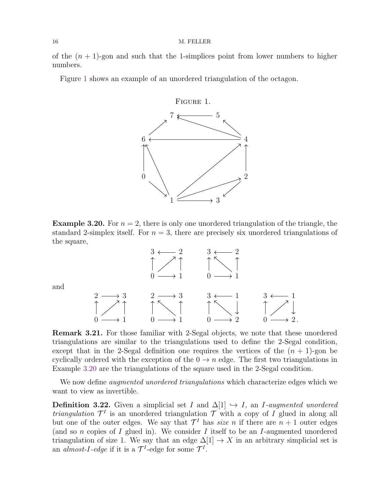of the  $(n + 1)$ -gon and such that the 1-simplices point from lower numbers to higher numbers.

Figure [1](#page-15-0) shows an example of an unordered triangulation of the octagon.

<span id="page-15-0"></span>

<span id="page-15-1"></span>**Example 3.20.** For  $n = 2$ , there is only one unordered triangulation of the triangle, the standard 2-simplex itself. For  $n = 3$ , there are precisely six unordered triangulations of the square,



and

Remark 3.21. For those familiar with 2-Segal objects, we note that these unordered triangulations are similar to the triangulations used to define the 2-Segal condition, except that in the 2-Segal definition one requires the vertices of the  $(n + 1)$ -gon be cyclically ordered with the exception of the  $0 \to n$  edge. The first two triangulations in Example [3.20](#page-15-1) are the triangulations of the square used in the 2-Segal condition.

We now define *augmented unordered triangulations* which characterize edges which we want to view as invertible.

**Definition 3.22.** Given a simplicial set I and  $\Delta[1] \hookrightarrow I$ , an I-augmented unordered *triangulation*  $\mathcal{T}^I$  is an unordered triangulation  $\mathcal T$  with a copy of I glued in along all but one of the outer edges. We say that  $\mathcal{T}^I$  has *size* n if there are  $n+1$  outer edges (and so  $n$  copies of  $I$  glued in). We consider  $I$  itself to be an  $I$ -augmented unordered triangulation of size 1. We say that an edge  $\Delta[1] \rightarrow X$  in an arbitrary simplicial set is an *almost-I-edge* if it is a  $\mathcal{T}^I$ -edge for some  $\mathcal{T}^I$ .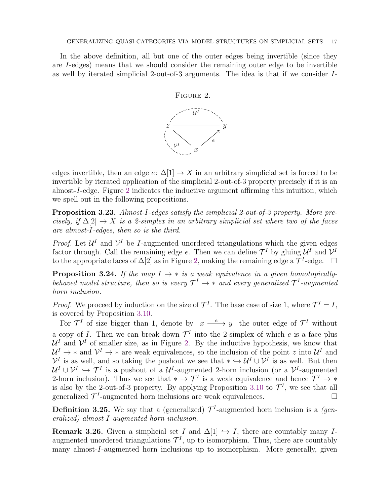In the above definition, all but one of the outer edges being invertible (since they are I-edges) means that we should consider the remaining outer edge to be invertible as well by iterated simplicial 2-out-of-3 arguments. The idea is that if we consider I-

<span id="page-16-0"></span>

edges invertible, then an edge  $e: \Delta[1] \to X$  in an arbitrary simplicial set is forced to be invertible by iterated application of the simplicial 2-out-of-3 property precisely if it is an almost-I-edge. Figure [2](#page-16-0) indicates the inductive argument affirming this intuition, which we spell out in the following propositions.

<span id="page-16-1"></span>Proposition 3.23. Almost-I-edges satisfy the simplicial 2-out-of-3 property. More precisely, if  $\Delta[2] \rightarrow X$  is a 2-simplex in an arbitrary simplicial set where two of the faces are almost-I-edges, then so is the third.

*Proof.* Let  $\mathcal{U}^I$  and  $\mathcal{V}^I$  be *I*-augmented unordered triangulations which the given edges factor through. Call the remaining edge e. Then we can define  $\mathcal{T}^I$  by gluing  $\mathcal{U}^I$  and  $\mathcal{V}^I$ to the appropriate faces of  $\Delta[2]$  as in Figure [2,](#page-16-0) making the remaining edge a  $\mathcal{T}^I$ -edge.  $\Box$ 

**Proposition 3.24.** If the map  $I \rightarrow *$  is a weak equivalence in a given homotopicallybehaved model structure, then so is every  $\mathcal{T}^I \to *$  and every generalized  $\mathcal{T}^I$ -augmented horn inclusion.

*Proof.* We proceed by induction on the size of  $\mathcal{T}^I$ . The base case of size 1, where  $\mathcal{T}^I = I$ , is covered by Proposition [3.10.](#page-12-0)

For  $\mathcal{T}^I$  of size bigger than 1, denote by  $x \xrightarrow{e} y$  the outer edge of  $\mathcal{T}^I$  without a copy of *I*. Then we can break down  $\mathcal{T}^I$  into the 2-simplex of which *e* is a face plus  $\mathcal{U}^I$  and  $\mathcal{V}^I$  of smaller size, as in Figure [2.](#page-16-0) By the inductive hypothesis, we know that  $\mathcal{U}^I \to *$  and  $\mathcal{V}^I \to *$  are weak equivalences, so the inclusion of the point z into  $\mathcal{U}^I$  and  $\mathcal{V}^I$  is as well, and so taking the pushout we see that  $* \hookrightarrow \mathcal{U}^I \cup \mathcal{V}^I$  is as well. But then  $\mathcal{U}^I \cup \mathcal{V}^I \hookrightarrow \mathcal{T}^I$  is a pushout of a  $\mathcal{U}^I$ -augmented 2-horn inclusion (or a  $\mathcal{V}^I$ -augmented 2-horn inclusion). Thus we see that  $* \to \mathcal{T}^I$  is a weak equivalence and hence  $\mathcal{T}^I \to *$ is also by the 2-out-of-3 property. By applying Proposition [3.10](#page-12-0) to  $\mathcal{T}^I$ , we see that all generalized  $\mathcal{T}^I$ -augmented horn inclusions are weak equivalences.

**Definition 3.25.** We say that a (generalized)  $\mathcal{T}^I$ -augmented horn inclusion is a *(gen*eralized) almost-I-augmented horn inclusion.

<span id="page-16-2"></span>Remark 3.26. Given a simplicial set I and  $\Delta[1] \hookrightarrow I$ , there are countably many Iaugmented unordered triangulations  $\mathcal{T}^{I}$ , up to isomorphism. Thus, there are countably many almost-I-augmented horn inclusions up to isomorphism. More generally, given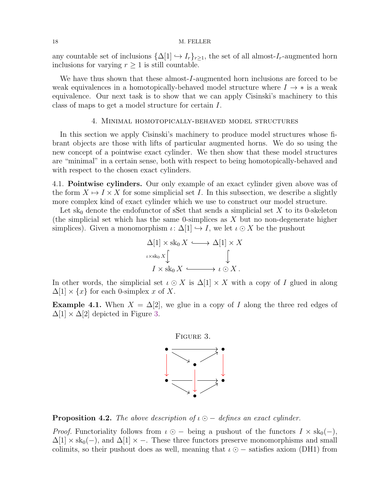any countable set of inclusions  $\{\Delta[1] \leftrightarrow I_r\}_{r \geq 1}$ , the set of all almost- $I_r$ -augmented horn inclusions for varying  $r \geq 1$  is still countable.

We have thus shown that these almost-I-augmented horn inclusions are forced to be weak equivalences in a homotopically-behaved model structure where  $I \rightarrow *$  is a weak equivalence. Our next task is to show that we can apply Cisinski's machinery to this class of maps to get a model structure for certain I.

### 4. Minimal homotopically-behaved model structures

<span id="page-17-0"></span>In this section we apply Cisinski's machinery to produce model structures whose fibrant objects are those with lifts of particular augmented horns. We do so using the new concept of a pointwise exact cylinder. We then show that these model structures are "minimal" in a certain sense, both with respect to being homotopically-behaved and with respect to the chosen exact cylinders.

<span id="page-17-1"></span>4.1. Pointwise cylinders. Our only example of an exact cylinder given above was of the form  $X \mapsto I \times X$  for some simplicial set I. In this subsection, we describe a slightly more complex kind of exact cylinder which we use to construct our model structure.

Let sk<sub>0</sub> denote the endofunctor of sSet that sends a simplicial set X to its 0-skeleton (the simplicial set which has the same 0-simplices as  $X$  but no non-degenerate higher simplices). Given a monomorphism  $\iota: \Delta[1] \hookrightarrow I$ , we let  $\iota \odot X$  be the pushout

$$
\Delta[1] \times sk_0 X \longleftrightarrow \Delta[1] \times X
$$
  
 $\iota \times sk_0 X \downarrow \qquad \qquad \downarrow$   
 $I \times sk_0 X \longleftrightarrow \iota \odot X.$ 

In other words, the simplicial set  $\iota \odot X$  is  $\Delta[1] \times X$  with a copy of I glued in along  $\Delta[1] \times \{x\}$  for each 0-simplex x of X.

**Example 4.1.** When  $X = \Delta[2]$ , we glue in a copy of I along the three red edges of  $\Delta[1] \times \Delta[2]$  depicted in Figure [3.](#page-17-2)

<span id="page-17-2"></span>

**Proposition 4.2.** The above description of  $\iota \circ -$  defines an exact cylinder.

*Proof.* Functoriality follows from  $\iota \odot -$  being a pushout of the functors  $I \times sk_0(-)$ ,  $\Delta[1] \times sk_0(-)$ , and  $\Delta[1] \times -$ . These three functors preserve monomorphisms and small colimits, so their pushout does as well, meaning that  $\iota \odot -$  satisfies axiom (DH1) from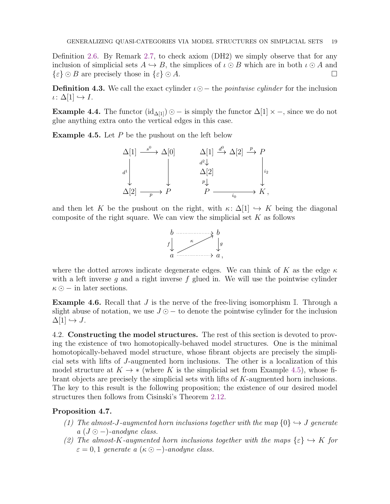Definition [2.6.](#page-7-1) By Remark [2.7,](#page-8-0) to check axiom (DH2) we simply observe that for any inclusion of simplicial sets  $A \hookrightarrow B$ , the simplices of  $\iota \odot B$  which are in both  $\iota \odot A$  and  $\{\varepsilon\} \odot B$  are precisely those in  $\{\varepsilon\} \odot A$ .

**Definition 4.3.** We call the exact cylinder  $\iota \odot$ − the *pointwise cylinder* for the inclusion  $\iota\colon \Delta[1] \hookrightarrow I.$ 

**Example 4.4.** The functor  $(id_{\Delta[1]}) \odot -$  is simply the functor  $\Delta[1] \times -$ , since we do not glue anything extra onto the vertical edges in this case.

<span id="page-18-0"></span>**Example 4.5.** Let  $P$  be the pushout on the left below



and then let K be the pushout on the right, with  $\kappa: \Delta[1] \hookrightarrow K$  being the diagonal composite of the right square. We can view the simplicial set  $K$  as follows



where the dotted arrows indicate degenerate edges. We can think of K as the edge  $\kappa$ with a left inverse g and a right inverse f glued in. We will use the pointwise cylinder  $\kappa \odot$  – in later sections.

**Example 4.6.** Recall that J is the nerve of the free-living isomorphism  $\mathbb{I}$ . Through a slight abuse of notation, we use  $J \odot -$  to denote the pointwise cylinder for the inclusion  $\Delta[1] \hookrightarrow J$ .

<span id="page-18-1"></span>4.2. Constructing the model structures. The rest of this section is devoted to proving the existence of two homotopically-behaved model structures. One is the minimal homotopically-behaved model structure, whose fibrant objects are precisely the simplicial sets with lifts of J-augmented horn inclusions. The other is a localization of this model structure at  $K \to *$  (where K is the simplicial set from Example [4.5\)](#page-18-0), whose fibrant objects are precisely the simplicial sets with lifts of K-augmented horn inclusions. The key to this result is the following proposition; the existence of our desired model structures then follows from Cisinski's Theorem [2.12.](#page-9-1)

## <span id="page-18-2"></span>Proposition 4.7.

- (1) The almost-J-augmented horn inclusions together with the map  $\{0\} \hookrightarrow J$  generate  $a (J \odot -)$ -anodyne class.
- (2) The almost-K-augmented horn inclusions together with the maps  $\{\varepsilon\} \hookrightarrow K$  for  $\varepsilon = 0, 1$  generate a  $(\kappa \odot -)$ -anodyne class.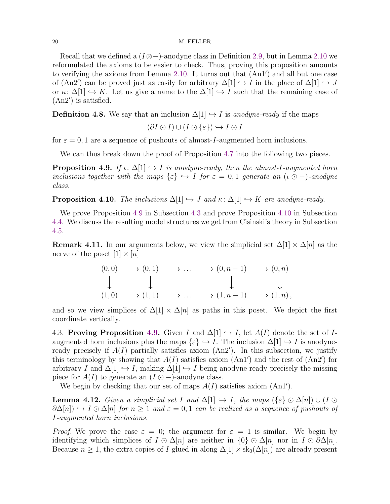Recall that we defined a  $(I \otimes -)$ -anodyne class in Definition [2.9,](#page-8-1) but in Lemma [2.10](#page-8-2) we reformulated the axioms to be easier to check. Thus, proving this proposition amounts to verifying the axioms from Lemma [2.10.](#page-8-2) It turns out that (An1′ ) and all but one case of (An2') can be proved just as easily for arbitrary  $\Delta[1] \hookrightarrow I$  in the place of  $\Delta[1] \hookrightarrow J$ or  $\kappa: \Delta[1] \hookrightarrow K$ . Let us give a name to the  $\Delta[1] \hookrightarrow I$  such that the remaining case of (An2′ ) is satisfied.

**Definition 4.8.** We say that an inclusion  $\Delta[1] \hookrightarrow I$  is anodyne-ready if the maps

$$
(\partial I \odot I) \cup (I \odot \{\varepsilon\}) \hookrightarrow I \odot I
$$

for  $\varepsilon = 0, 1$  are a sequence of pushouts of almost-*I*-augmented horn inclusions.

We can thus break down the proof of Proposition [4.7](#page-18-2) into the following two pieces.

<span id="page-19-0"></span>**Proposition 4.9.** If  $\iota: \Delta[1] \hookrightarrow I$  is anodyne-ready, then the almost-I-augmented horn inclusions together with the maps  $\{\varepsilon\} \hookrightarrow I$  for  $\varepsilon = 0, 1$  generate an  $(\iota \odot -)$ -anodyne class.

<span id="page-19-2"></span>**Proposition 4.10.** The inclusions  $\Delta[1] \hookrightarrow J$  and  $\kappa: \Delta[1] \hookrightarrow K$  are anodyne-ready.

We prove Proposition [4.9](#page-19-0) in Subsection [4.3](#page-19-1) and prove Proposition [4.10](#page-19-2) in Subsection [4.4.](#page-23-0) We discuss the resulting model structures we get from Cisinski's theory in Subsection [4.5.](#page-27-0)

**Remark 4.11.** In our arguments below, we view the simplicial set  $\Delta[1] \times \Delta[n]$  as the nerve of the poset  $[1] \times [n]$ 

$$
(0,0) \longrightarrow (0,1) \longrightarrow \dots \longrightarrow (0,n-1) \longrightarrow (0,n)
$$
  
\n
$$
\downarrow \qquad \qquad \downarrow \qquad \qquad \downarrow
$$
  
\n
$$
(1,0) \longrightarrow (1,1) \longrightarrow \dots \longrightarrow (1,n-1) \longrightarrow (1,n),
$$

and so we view simplices of  $\Delta[1] \times \Delta[n]$  as paths in this poset. We depict the first coordinate vertically.

<span id="page-19-1"></span>4.3. Proving Proposition [4.9.](#page-19-0) Given I and  $\Delta[1] \hookrightarrow I$ , let  $A(I)$  denote the set of Iaugmented horn inclusions plus the maps  $\{\varepsilon\} \hookrightarrow I$ . The inclusion  $\Delta[1] \hookrightarrow I$  is anodyneready precisely if  $A(I)$  partially satisfies axiom  $(An2')$ . In this subsection, we justify this terminology by showing that  $A(I)$  satisfies axiom  $(An1')$  and the rest of  $(An2')$  for arbitrary I and  $\Delta[1] \hookrightarrow I$ , making  $\Delta[1] \hookrightarrow I$  being anodyne ready precisely the missing piece for  $A(I)$  to generate an  $(I \odot -)$ -anodyne class.

We begin by checking that our set of maps  $A(I)$  satisfies axiom  $(An1')$ .

<span id="page-19-3"></span>**Lemma 4.12.** Given a simplicial set I and  $\Delta[1] \hookrightarrow I$ , the maps  $(\{\varepsilon\} \odot \Delta[n]) \cup (I \odot$  $\partial \Delta[n]) \rightarrow I \odot \Delta[n]$  for  $n \geq 1$  and  $\varepsilon = 0, 1$  can be realized as a sequence of pushouts of I-augmented horn inclusions.

*Proof.* We prove the case  $\varepsilon = 0$ ; the argument for  $\varepsilon = 1$  is similar. We begin by identifying which simplices of  $I \odot \Delta[n]$  are neither in  $\{0\} \odot \Delta[n]$  nor in  $I \odot \partial \Delta[n]$ . Because  $n \geq 1$ , the extra copies of I glued in along  $\Delta[1] \times sk_0(\Delta[n])$  are already present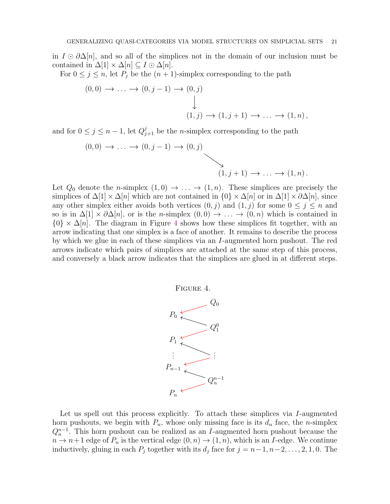in  $I \odot \partial \Delta[n]$ , and so all of the simplices not in the domain of our inclusion must be contained in  $\Delta[1] \times \Delta[n] \subseteq I \odot \Delta[n]$ .

For  $0 \leq j \leq n$ , let  $P_j$  be the  $(n + 1)$ -simplex corresponding to the path

$$
(0,0) \rightarrow \dots \rightarrow (0,j-1) \rightarrow (0,j)
$$
  

$$
\downarrow
$$
  

$$
(1,j) \rightarrow (1,j+1) \rightarrow \dots \rightarrow (1,n),
$$

and for  $0 \leq j \leq n-1$ , let  $Q_{j+1}^j$  be the *n*-simplex corresponding to the path

$$
(0,0) \rightarrow \dots \rightarrow (0,j-1) \rightarrow (0,j)
$$
  

$$
(1,j+1) \rightarrow \dots \rightarrow (1,n).
$$

Let  $Q_0$  denote the *n*-simplex  $(1,0) \rightarrow \ldots \rightarrow (1,n)$ . These simplices are precisely the simplices of  $\Delta[1] \times \Delta[n]$  which are not contained in  $\{0\} \times \Delta[n]$  or in  $\Delta[1] \times \partial \Delta[n]$ , since any other simplex either avoids both vertices  $(0, j)$  and  $(1, j)$  for some  $0 \leq j \leq n$  and so is in  $\Delta[1] \times \partial \Delta[n]$ , or is the *n*-simplex  $(0,0) \to \ldots \to (0,n)$  which is contained in  $\{0\} \times \Delta[n]$ . The diagram in Figure [4](#page-20-0) shows how these simplices fit together, with an arrow indicating that one simplex is a face of another. It remains to describe the process by which we glue in each of these simplices via an I-augmented horn pushout. The red arrows indicate which pairs of simplices are attached at the same step of this process, and conversely a black arrow indicates that the simplices are glued in at different steps.

<span id="page-20-0"></span>

Let us spell out this process explicitly. To attach these simplices via I-augmented horn pushouts, we begin with  $P_n$ , whose only missing face is its  $d_n$  face, the *n*-simplex  $Q_n^{n-1}$ . This horn pushout can be realized as an I-augmented horn pushout because the  $n \to n+1$  edge of  $P_n$  is the vertical edge  $(0, n) \to (1, n)$ , which is an I-edge. We continue inductively, gluing in each  $P_j$  together with its  $d_j$  face for  $j = n-1, n-2, \ldots, 2, 1, 0$ . The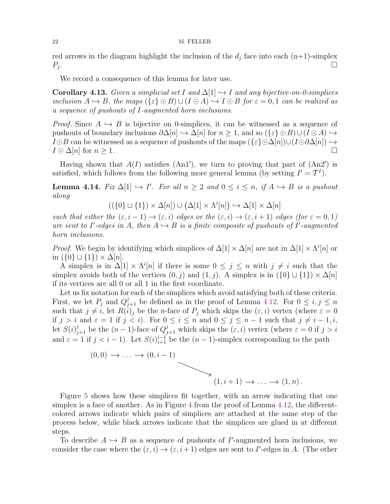red arrows in the diagram highlight the inclusion of the  $d_j$  face into each  $(n+1)$ -simplex  $P_i$ . .

We record a consequence of this lemma for later use.

<span id="page-21-1"></span>**Corollary 4.13.** Given a simplicial set I and  $\Delta[1] \rightarrow I$  and any bijective-on-0-simplices inclusion  $A \hookrightarrow B$ , the maps  $({\{\varepsilon\}\odot B)\cup (I \odot A) \hookrightarrow I \odot B$  for  $\varepsilon = 0,1$  can be realized as a sequence of pushouts of I-augmented horn inclusions.

*Proof.* Since  $A \hookrightarrow B$  is bijective on 0-simplices, it can be witnessed as a sequence of pushouts of boundary inclusions  $\partial \Delta[n] \hookrightarrow \Delta[n]$  for  $n \geq 1$ , and so  $({\{\varepsilon\}}\odot B) \cup (I \odot A) \hookrightarrow$  $I\odot B$  can be witnessed as a sequence of pushouts of the maps  $(\{\varepsilon\}\odot\Delta[n])\cup (I\odot\partial\Delta[n])$   $\hookrightarrow$  $I \odot \Delta[n]$  for  $n \geq 1$ .

Having shown that  $A(I)$  satisfies  $(An1')$ , we turn to proving that part of  $(An2')$  is satisfied, which follows from the following more general lemma (by setting  $I' = \mathcal{T}^I$ ).

<span id="page-21-0"></span>**Lemma 4.14.** Fix  $\Delta[1] \hookrightarrow I'$ . For all  $n \geq 2$  and  $0 \leq i \leq n$ , if  $A \hookrightarrow B$  is a pushout along

 $((\{0\} \sqcup \{1\}) \times \Delta[n]) \cup (\Delta[1] \times \Lambda^i[n]) \hookrightarrow \Delta[1] \times \Delta[n]$ 

such that either the  $(\varepsilon, i - 1) \to (\varepsilon, i)$  edges or the  $(\varepsilon, i) \to (\varepsilon, i + 1)$  edges (for  $\varepsilon = 0, 1$ ) are sent to I'-edges in A, then  $A \hookrightarrow B$  is a finite composite of pushouts of I'-augmented horn inclusions.

*Proof.* We begin by identifying which simplices of  $\Delta[1] \times \Delta[n]$  are not in  $\Delta[1] \times \Lambda^{i}[n]$  or in  $({0} \cup {1}) \times \Delta[n]$ .

A simplex is in  $\Delta[1] \times \Lambda^{i}[n]$  if there is some  $0 \leq j \leq n$  with  $j \neq i$  such that the simplex avoids both of the vertices  $(0, j)$  and  $(1, j)$ . A simplex is in  $({0} \cup {1}) \times \Delta[n]$ if its vertices are all 0 or all 1 in the first coordinate.

Let us fix notation for each of the simplices which avoid satisfying both of these criteria. First, we let  $P_j$  and  $Q_{j+1}^j$  be defined as in the proof of Lemma [4.12.](#page-19-3) For  $0 \le i, j \le n$ such that  $j \neq i$ , let  $R(i)_j$  be the *n*-face of  $P_j$  which skips the  $(\varepsilon, i)$  vertex (where  $\varepsilon = 0$ if  $j > i$  and  $\varepsilon = 1$  if  $j < i$ ). For  $0 \le i \le n$  and  $0 \le j \le n-1$  such that  $j \ne i-1, i$ , let  $S(i)_{j+1}^j$  be the  $(n-1)$ -face of  $Q_{j+1}^j$  which skips the  $(\varepsilon, i)$  vertex (where  $\varepsilon = 0$  if  $j > i$ and  $\varepsilon = 1$  if  $j < i - 1$ ). Let  $S(i)_{i+1}^{i-1}$  be the  $(n-1)$ -simplex corresponding to the path



Figure [5](#page-22-0) shows how these simplices fit together, with an arrow indicating that one simplex is a face of another. As in Figure [4](#page-20-0) from the proof of Lemma [4.12,](#page-19-3) the differentcolored arrows indicate which pairs of simplices are attached at the same step of the process below, while black arrows indicate that the simplices are glued in at different steps.

To describe  $A \hookrightarrow B$  as a sequence of pushouts of I'-augmented horn inclusions, we consider the case where the  $(\varepsilon, i) \to (\varepsilon, i+1)$  edges are sent to I'-edges in A. (The other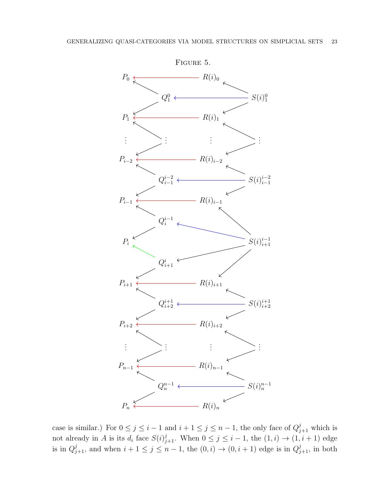<span id="page-22-0"></span>

case is similar.) For  $0 \leq j \leq i-1$  and  $i+1 \leq j \leq n-1$ , the only face of  $Q_{j+1}^j$  which is not already in A is its  $d_i$  face  $S(i)_{j+1}^j$ . When  $0 \le j \le i-1$ , the  $(1,i) \to (1,i+1)$  edge is in  $Q_{j+1}^j$ , and when  $i+1 \leq j \leq n-1$ , the  $(0,i) \to (0,i+1)$  edge is in  $Q_{j+1}^j$ , in both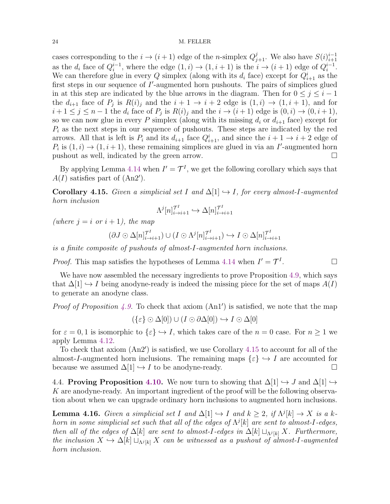cases corresponding to the  $i \to (i+1)$  edge of the *n*-simplex  $Q_{j+1}^j$ . We also have  $S(i)_{i+1}^{i-1}$  $i+1$ as the  $d_i$  face of  $Q_i^{i-1}$ , where the edge  $(1,i) \rightarrow (1,i+1)$  is the  $i \rightarrow (i+1)$  edge of  $Q_i^{i-1}$ . We can therefore glue in every Q simplex (along with its  $d_i$  face) except for  $Q_{i+1}^i$  as the first steps in our sequence of I'-augmented horn pushouts. The pairs of simplices glued in at this step are indicated by the blue arrows in the diagram. Then for  $0 \leq j \leq i - 1$ the  $d_{i+1}$  face of  $P_j$  is  $R(i)_j$  and the  $i+1 \to i+2$  edge is  $(1,i) \to (1,i+1)$ , and for  $i+1 \leq j \leq n-1$  the  $d_i$  face of  $P_j$  is  $R(i)_j$  and the  $i \to (i+1)$  edge is  $(0, i) \to (0, i+1)$ , so we can now glue in every P simplex (along with its missing  $d_i$  or  $d_{i+1}$  face) except for  $P_i$  as the next steps in our sequence of pushouts. These steps are indicated by the red arrows. All that is left is  $P_i$  and its  $d_{i+1}$  face  $Q_{i+1}^i$ , and since the  $i+1 \to i+2$  edge of  $P_i$  is  $(1,i) \rightarrow (1,i+1)$ , these remaining simplices are glued in via an I'-augmented horn pushout as well, indicated by the green arrow.

By applying Lemma [4.14](#page-21-0) when  $I' = \mathcal{T}^I$ , we get the following corollary which says that  $A(I)$  satisfies part of  $(An2')$ .

<span id="page-23-1"></span>Corollary 4.15. Given a simplicial set I and  $\Delta[1] \hookrightarrow I$ , for every almost-I-augmented horn inclusion

$$
\Lambda^j[n]_{i\to i+1}^{\mathcal{T}^I} \hookrightarrow \Delta[n]_{i\to i+1}^{\mathcal{T}^I}
$$

(where  $i = i \text{ or } i + 1$ ), the map

$$
(\partial J \odot \Delta[n]_{i\to i+1}^{\mathcal{T}^I}) \cup (I \odot \Lambda^j[n]_{i\to i+1}^{\mathcal{T}^I}) \hookrightarrow I \odot \Delta[n]_{i\to i+1}^{\mathcal{T}^I}
$$

is a finite composite of pushouts of almost-I-augmented horn inclusions.

*Proof.* This map satisfies the hypotheses of Lemma [4.14](#page-21-0) when  $I' = \mathcal{T}^I$ 

We have now assembled the necessary ingredients to prove Proposition [4.9,](#page-19-0) which says that  $\Delta[1] \hookrightarrow I$  being anodyne-ready is indeed the missing piece for the set of maps  $A(I)$ to generate an anodyne class.

*Proof of Proposition [4.9.](#page-19-0)* To check that axiom  $(An1')$  is satisfied, we note that the map

$$
(\{\varepsilon\} \odot \Delta[0]) \cup (I \odot \partial \Delta[0]) \hookrightarrow I \odot \Delta[0]
$$

for  $\varepsilon = 0, 1$  is isomorphic to  $\{\varepsilon\} \hookrightarrow I$ , which takes care of the  $n = 0$  case. For  $n \ge 1$  we apply Lemma [4.12.](#page-19-3)

To check that axiom (An2′ ) is satisfied, we use Corollary [4.15](#page-23-1) to account for all of the almost-I-augmented horn inclusions. The remaining maps  $\{\varepsilon\} \hookrightarrow I$  are accounted for because we assumed  $\Delta[1] \hookrightarrow I$  to be anodyne-ready.

<span id="page-23-0"></span>4.4. Proving Proposition [4.10.](#page-19-2) We now turn to showing that  $\Delta[1] \hookrightarrow J$  and  $\Delta[1] \hookrightarrow$ K are anodyne-ready. An important ingredient of the proof will be the following observation about when we can upgrade ordinary horn inclusions to augmented horn inclusions.

<span id="page-23-2"></span>**Lemma 4.16.** Given a simplicial set I and  $\Delta[1] \hookrightarrow I$  and  $k \geq 2$ , if  $\Lambda^{j}[k] \to X$  is a khorn in some simplicial set such that all of the edges of  $\Lambda^{j}[k]$  are sent to almost-I-edges, then all of the edges of  $\Delta[k]$  are sent to almost-I-edges in  $\Delta[k] \sqcup_{\Lambda^j[k]} X$ . Furthermore, the inclusion  $X \hookrightarrow \Delta[k] \sqcup_{\Lambda^j[k]} X$  can be witnessed as a pushout of almost-I-augmented horn inclusion.

. — Первый проста в сервести проста в сервести проста в сервести проста в сервести проста в сервести проста в<br>В сервести проста в сервести проста в сервести проста в сервести проглашата в сервести проста в сервести прост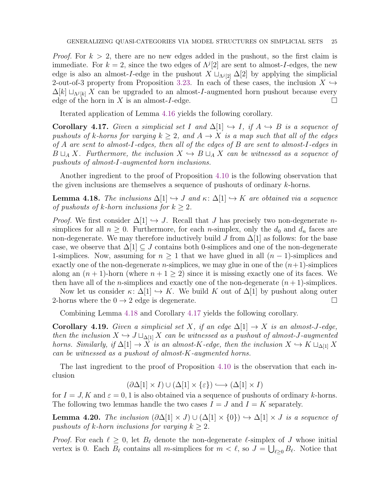*Proof.* For  $k > 2$ , there are no new edges added in the pushout, so the first claim is immediate. For  $k = 2$ , since the two edges of  $\Lambda^{j}[2]$  are sent to almost-*I*-edges, the new edge is also an almost-I-edge in the pushout  $X \sqcup_{\Lambda^{j}[2]} \Delta[2]$  by applying the simplicial 2-out-of-3 property from Proposition [3.23.](#page-16-1) In each of these cases, the inclusion  $X \hookrightarrow$  $\Delta[k] \sqcup_{\Lambda^j[k]} X$  can be upgraded to an almost-*I*-augmented horn pushout because every edge of the horn in X is an almost-I-edge.  $\square$ 

Iterated application of Lemma [4.16](#page-23-2) yields the following corollary.

<span id="page-24-1"></span>Corollary 4.17. Given a simplicial set I and  $\Delta[1] \hookrightarrow I$ , if  $A \hookrightarrow B$  is a sequence of pushouts of k-horns for varying  $k \geq 2$ , and  $A \rightarrow X$  is a map such that all of the edges of A are sent to almost-I-edges, then all of the edges of B are sent to almost-I-edges in  $B \sqcup_A X$ . Furthermore, the inclusion  $X \hookrightarrow B \sqcup_A X$  can be witnessed as a sequence of pushouts of almost-I-augmented horn inclusions.

Another ingredient to the proof of Proposition [4.10](#page-19-2) is the following observation that the given inclusions are themselves a sequence of pushouts of ordinary k-horns.

<span id="page-24-0"></span>**Lemma 4.18.** The inclusions  $\Delta[1] \hookrightarrow J$  and  $\kappa: \Delta[1] \hookrightarrow K$  are obtained via a sequence of pushouts of k-horn inclusions for  $k \geq 2$ .

*Proof.* We first consider  $\Delta[1] \hookrightarrow J$ . Recall that J has precisely two non-degenerate nsimplices for all  $n \geq 0$ . Furthermore, for each *n*-simplex, only the  $d_0$  and  $d_n$  faces are non-degenerate. We may therefore inductively build J from  $\Delta[1]$  as follows: for the base case, we observe that  $\Delta[1] \subseteq J$  contains both 0-simplices and one of the non-degenerate 1-simplices. Now, assuming for  $n \geq 1$  that we have glued in all  $(n-1)$ -simplices and exactly one of the non-degenerate *n*-simplices, we may glue in one of the  $(n+1)$ -simplices along an  $(n + 1)$ -horn (where  $n + 1 \geq 2$ ) since it is missing exactly one of its faces. We then have all of the *n*-simplices and exactly one of the non-degenerate  $(n + 1)$ -simplices.

Now let us consider  $\kappa: \Delta[1] \hookrightarrow K$ . We build K out of  $\Delta[1]$  by pushout along outer 2-horns where the  $0 \rightarrow 2$  edge is degenerate.

Combining Lemma [4.18](#page-24-0) and Corollary [4.17](#page-24-1) yields the following corollary.

**Corollary 4.19.** Given a simplicial set X, if an edge  $\Delta[1] \rightarrow X$  is an almost-J-edge, then the inclusion  $X \hookrightarrow J \sqcup_{\Delta[1]} X$  can be witnessed as a pushout of almost-J-augmented horns. Similarly, if  $\Delta[1] \to X$  is an almost-K-edge, then the inclusion  $X \to K \sqcup_{\Delta[1]} X$ can be witnessed as a pushout of almost-K-augmented horns.

The last ingredient to the proof of Proposition [4.10](#page-19-2) is the observation that each inclusion

$$
(\partial \Delta[1] \times I) \cup (\Delta[1] \times \{\varepsilon\}) \hookrightarrow (\Delta[1] \times I)
$$

for  $I = J$ , K and  $\varepsilon = 0, 1$  is also obtained via a sequence of pushouts of ordinary k-horns. The following two lemmas handle the two cases  $I = J$  and  $I = K$  separately.

<span id="page-24-2"></span>**Lemma 4.20.** The inclusion  $(\partial \Delta[1] \times J) \cup (\Delta[1] \times \{0\}) \hookrightarrow \Delta[1] \times J$  is a sequence of pushouts of k-horn inclusions for varying  $k \geq 2$ .

*Proof.* For each  $\ell \geq 0$ , let  $B_{\ell}$  denote the non-degenerate  $\ell$ -simplex of J whose initial vertex is 0. Each  $\overline{B}_{\ell}$  contains all m-simplices for  $m < \ell$ , so  $J = \bigcup_{\ell \geq 0} B_{\ell}$ . Notice that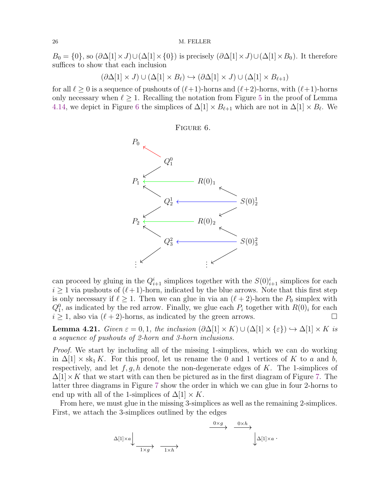$B_0 = \{0\}$ , so  $(\partial \Delta[1] \times J) \cup (\Delta[1] \times \{0\})$  is precisely  $(\partial \Delta[1] \times J) \cup (\Delta[1] \times B_0)$ . It therefore suffices to show that each inclusion

$$
(\partial \Delta[1] \times J) \cup (\Delta[1] \times B_{\ell}) \hookrightarrow (\partial \Delta[1] \times J) \cup (\Delta[1] \times B_{\ell+1})
$$

for all  $\ell \geq 0$  is a sequence of pushouts of  $(\ell+1)$ -horns and  $(\ell+2)$ -horns, with  $(\ell+1)$ -horns only necessary when  $\ell \geq 1$ . Recalling the notation from Figure [5](#page-22-0) in the proof of Lemma [4.14,](#page-21-0) we depict in Figure [6](#page-25-0) the simplices of  $\Delta[1] \times B_{\ell+1}$  which are not in  $\Delta[1] \times B_{\ell}$ . We

<span id="page-25-0"></span>

can proceed by gluing in the  $Q_{i+1}^i$  simplices together with the  $S(0)_{i+1}^i$  simplices for each  $i \geq 1$  via pushouts of  $(\ell+1)$ -horn, indicated by the blue arrows. Note that this first step is only necessary if  $\ell \geq 1$ . Then we can glue in via an  $(\ell + 2)$ -horn the  $P_0$  simplex with  $Q_1^0$ , as indicated by the red arrow. Finally, we glue each  $P_i$  together with  $R(0)_i$  for each  $i \geq 1$ , also via  $(\ell + 2)$ -horns, as indicated by the green arrows.

<span id="page-25-1"></span>**Lemma 4.21.** Given  $\varepsilon = 0, 1$ , the inclusion  $(\partial \Delta[1] \times K) \cup (\Delta[1] \times \{\varepsilon\}) \hookrightarrow \Delta[1] \times K$  is a sequence of pushouts of 2-horn and 3-horn inclusions.

Proof. We start by including all of the missing 1-simplices, which we can do working in  $\Delta[1] \times sk_1 K$ . For this proof, let us rename the 0 and 1 vertices of K to a and b, respectively, and let  $f, g, h$  denote the non-degenerate edges of K. The 1-simplices of  $\Delta[1]\times K$  that we start with can then be pictured as in the first diagram of Figure [7.](#page-26-0) The latter three diagrams in Figure [7](#page-26-0) show the order in which we can glue in four 2-horns to end up with all of the 1-simplices of  $\Delta[1] \times K$ .

From here, we must glue in the missing 3-simplices as well as the remaining 2-simplices. First, we attach the 3-simplices outlined by the edges

$$
\Delta[1]\times a \downarrow \xrightarrow[1\times g]{}
$$
 
$$
\xrightarrow[1\times h]{}
$$
 
$$
\xrightarrow[1\times h]{}
$$
 
$$
\Delta[1]\times a
$$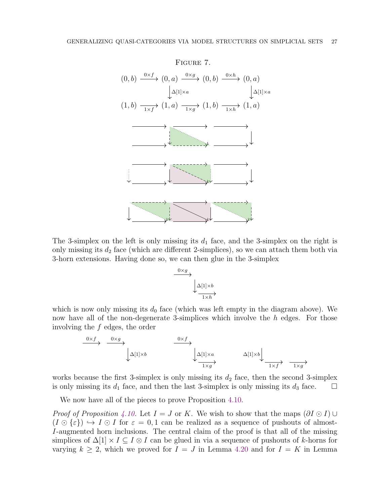<span id="page-26-0"></span>

The 3-simplex on the left is only missing its  $d_1$  face, and the 3-simplex on the right is only missing its  $d_2$  face (which are different 2-simplices), so we can attach them both via 3-horn extensions. Having done so, we can then glue in the 3-simplex



which is now only missing its  $d_0$  face (which was left empty in the diagram above). We now have all of the non-degenerate 3-simplices which involve the h edges. For those involving the f edges, the order

$$
\xrightarrow{0 \times f} \xrightarrow{0 \times g} \Delta[1] \times b
$$
\n
$$
\xrightarrow{0 \times f} \Delta[1] \times a
$$
\n
$$
\Delta[1] \times b
$$
\n
$$
\Delta[1] \times b
$$
\n
$$
\Delta[1] \times b
$$
\n
$$
\Delta[1] \times b
$$
\n
$$
\Delta[1] \times b
$$
\n
$$
\Delta[1] \times b
$$

works because the first 3-simplex is only missing its  $d_2$  face, then the second 3-simplex is only missing its  $d_1$  face, and then the last 3-simplex is only missing its  $d_3$  face.  $\Box$ 

We now have all of the pieces to prove Proposition [4.10.](#page-19-2)

*Proof of Proposition [4.10.](#page-19-2)* Let  $I = J$  or K. We wish to show that the maps  $(\partial I \odot I) \cup$  $(I \odot \{\varepsilon\}) \hookrightarrow I \odot I$  for  $\varepsilon = 0,1$  can be realized as a sequence of pushouts of almost-I-augmented horn inclusions. The central claim of the proof is that all of the missing simplices of  $\Delta[1] \times I \subseteq I \otimes I$  can be glued in via a sequence of pushouts of k-horns for varying  $k \geq 2$ , which we proved for  $I = J$  in Lemma [4.20](#page-24-2) and for  $I = K$  in Lemma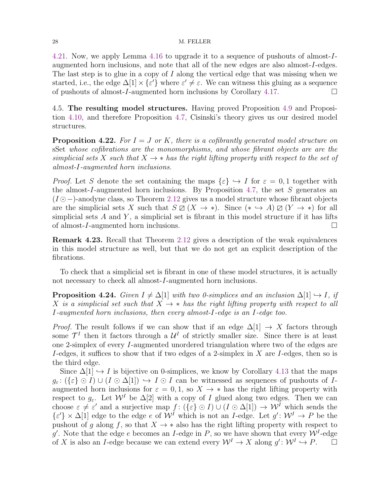[4.21.](#page-25-1) Now, we apply Lemma [4.16](#page-23-2) to upgrade it to a sequence of pushouts of almost-Iaugmented horn inclusions, and note that all of the new edges are also almost-I-edges. The last step is to glue in a copy of  $I$  along the vertical edge that was missing when we started, i.e., the edge  $\Delta[1] \times {\epsilon'}$  where  ${\epsilon'} \neq {\epsilon}$ . We can witness this gluing as a sequence of pushouts of almost-I-augmented horn inclusions by Corollary [4.17.](#page-24-1)

<span id="page-27-0"></span>4.5. The resulting model structures. Having proved Proposition [4.9](#page-19-0) and Proposition [4.10,](#page-19-2) and therefore Proposition [4.7,](#page-18-2) Cisinski's theory gives us our desired model structures.

<span id="page-27-1"></span>**Proposition 4.22.** For  $I = J$  or K, there is a cofibrantly generated model structure on sSet whose cofibrations are the monomorphisms, and whose fibrant objects are are the simplicial sets X such that  $X \to *$  has the right lifting property with respect to the set of almost-I-augmented horn inclusions.

*Proof.* Let S denote the set containing the maps  $\{\varepsilon\} \hookrightarrow I$  for  $\varepsilon = 0, 1$  together with the almost-I-augmented horn inclusions. By Proposition [4.7,](#page-18-2) the set  $S$  generates an (I ⊙−)-anodyne class, so Theorem [2.12](#page-9-1) gives us a model structure whose fibrant objects are the simplicial sets X such that  $S \boxtimes (X \to *)$ . Since  $(* \hookrightarrow A) \boxtimes (Y \to *)$  for all simplicial sets  $A$  and  $Y$ , a simplicial set is fibrant in this model structure if it has lifts of almost-I-augmented horn inclusions.

Remark 4.23. Recall that Theorem [2.12](#page-9-1) gives a description of the weak equivalences in this model structure as well, but that we do not get an explicit description of the fibrations.

To check that a simplicial set is fibrant in one of these model structures, it is actually not necessary to check all almost-I-augmented horn inclusions.

<span id="page-27-2"></span>**Proposition 4.24.** Given  $I \neq \Delta[1]$  with two 0-simplices and an inclusion  $\Delta[1] \hookrightarrow I$ , if X is a simplicial set such that  $X \rightarrow *$  has the right lifting property with respect to all I-augmented horn inclusions, then every almost-I-edge is an I-edge too.

*Proof.* The result follows if we can show that if an edge  $\Delta[1] \rightarrow X$  factors through some  $\mathcal{T}^I$  then it factors through a  $\mathcal{U}^I$  of strictly smaller size. Since there is at least one 2-simplex of every I-augmented unordered triangulation where two of the edges are I-edges, it suffices to show that if two edges of a 2-simplex in  $X$  are I-edges, then so is the third edge.

Since  $\Delta[1] \hookrightarrow I$  is bijective on 0-simplices, we know by Corollary [4.13](#page-21-1) that the maps  $g_{\varepsilon}$ :  $({\{\varepsilon\}\odot I}) \cup (I \odot \Delta[1]) \hookrightarrow I \odot I$  can be witnessed as sequences of pushouts of Iaugmented horn inclusions for  $\varepsilon = 0, 1$ , so  $X \to *$  has the right lifting property with respect to  $g_{\varepsilon}$ . Let  $\mathcal{W}^{I}$  be  $\Delta[2]$  with a copy of I glued along two edges. Then we can choose  $\varepsilon \neq \varepsilon'$  and a surjective map  $f : (\{\varepsilon\} \odot I) \cup (I \odot \Delta[1]) \rightarrow \mathcal{W}^I$  which sends the  $\{\varepsilon'\}\times\Delta[1]$  edge to the edge e of  $\mathcal{W}^I$  which is not an *I*-edge. Let  $g' : \mathcal{W}^I \to P$  be the pushout of q along f, so that  $X \to *$  also has the right lifting property with respect to g'. Note that the edge e becomes an I-edge in P, so we have shown that every  $W^I$ -edge of X is also an I-edge because we can extend every  $\mathcal{W}^I \to X$  along  $g' : \mathcal{W}^I \hookrightarrow P$ .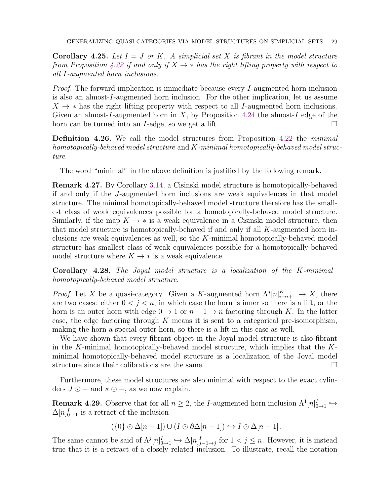<span id="page-28-3"></span>**Corollary 4.25.** Let  $I = J$  or K. A simplicial set X is fibrant in the model structure from Proposition [4.22](#page-27-1) if and only if  $X \rightarrow *$  has the right lifting property with respect to all I-augmented horn inclusions.

Proof. The forward implication is immediate because every I-augmented horn inclusion is also an almost-I-augmented horn inclusion. For the other implication, let us assume  $X \rightarrow *$  has the right lifting property with respect to all I-augmented horn inclusions. Given an almost-I-augmented horn in X, by Proposition [4.24](#page-27-2) the almost-I edge of the horn can be turned into an *I*-edge, so we get a lift.

**Definition 4.26.** We call the model structures from Proposition [4.22](#page-27-1) the *minimal* homotopically-behaved model structure and K-minimal homotopically-behaved model structure.

The word "minimal" in the above definition is justified by the following remark.

<span id="page-28-2"></span>Remark 4.27. By Corollary [3.14,](#page-13-1) a Cisinski model structure is homotopically-behaved if and only if the J-augmented horn inclusions are weak equivalences in that model structure. The minimal homotopically-behaved model structure therefore has the smallest class of weak equivalences possible for a homotopically-behaved model structure. Similarly, if the map  $K \to *$  is a weak equivalence in a Cisinski model structure, then that model structure is homotopically-behaved if and only if all  $K$ -augmented horn inclusions are weak equivalences as well, so the K-minimal homotopically-behaved model structure has smallest class of weak equivalences possible for a homotopically-behaved model structure where  $K \to *$  is a weak equivalence.

<span id="page-28-0"></span>Corollary 4.28. The Joyal model structure is a localization of the K-minimal homotopically-behaved model structure.

*Proof.* Let X be a quasi-category. Given a K-augmented horn  $\Lambda^{j}[n]_{i\to i+1}^{K} \to X$ , there are two cases: either  $0 < j < n$ , in which case the horn is inner so there is a lift, or the horn is an outer horn with edge  $0 \to 1$  or  $n - 1 \to n$  factoring through K. In the latter case, the edge factoring through  $K$  means it is sent to a categorical pre-isomorphism, making the horn a special outer horn, so there is a lift in this case as well.

We have shown that every fibrant object in the Joyal model structure is also fibrant in the K-minimal homotopically-behaved model structure, which implies that the  $K$ minimal homotopically-behaved model structure is a localization of the Joyal model structure since their cofibrations are the same.

Furthermore, these model structures are also minimal with respect to the exact cylinders  $J \odot -$  and  $\kappa \odot -$ , as we now explain.

<span id="page-28-1"></span>**Remark 4.29.** Observe that for all  $n \geq 2$ , the *I*-augmented horn inclusion  $\Lambda^1[n]_{0\to 1}^I \hookrightarrow$  $\Delta[n]_{0\rightarrow 1}^I$  is a retract of the inclusion

$$
(\{0\} \odot \Delta[n-1]) \cup (I \odot \partial \Delta[n-1]) \hookrightarrow I \odot \Delta[n-1].
$$

The same cannot be said of  $\Lambda^{j}[n]_{0\to 1}^{I} \hookrightarrow \Delta[n]_{j-1\to j}^{I}$  for  $1 < j \leq n$ . However, it is instead true that it is a retract of a closely related inclusion. To illustrate, recall the notation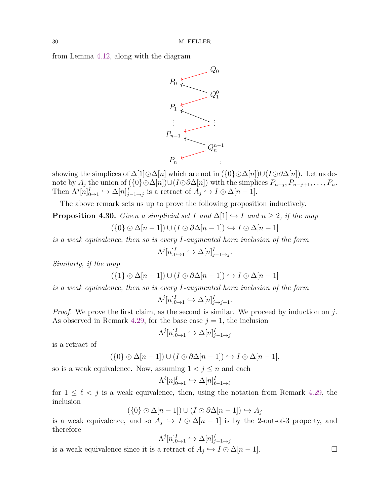from Lemma [4.12,](#page-19-3) along with the diagram



showing the simplices of  $\Delta[1]\odot\Delta[n]$  which are not in  $(\lbrace 0 \rbrace \odot \Delta[n])\cup (I\odot \partial \Delta[n])$ . Let us denote by  $A_j$  the union of  $(\{0\} \odot \Delta[n]) \cup (I \odot \partial \Delta[n])$  with the simplices  $P_{n-j}, P_{n-j+1}, \ldots, P_n$ . Then  $\Lambda^{j}[n]_{0\to 1}^{I} \hookrightarrow \Delta[n]_{j-1\to j}^{I}$  is a retract of  $A_j \hookrightarrow I \odot \Delta[n-1]$ .

The above remark sets us up to prove the following proposition inductively.

<span id="page-29-0"></span>**Proposition 4.30.** Given a simplicial set I and  $\Delta[1] \rightarrow I$  and  $n \geq 2$ , if the map

$$
(\{0\} \odot \Delta[n-1]) \cup (I \odot \partial \Delta[n-1]) \hookrightarrow I \odot \Delta[n-1]
$$

is a weak equivalence, then so is every I-augmented horn inclusion of the form

$$
\Lambda^j[n]_{0\to 1}^I \hookrightarrow \Delta[n]_{j-1\to j}^I.
$$

Similarly, if the map

$$
(\{1\} \odot \Delta[n-1]) \cup (I \odot \partial \Delta[n-1]) \hookrightarrow I \odot \Delta[n-1]
$$

is a weak equivalence, then so is every I-augmented horn inclusion of the form

$$
\Lambda^j[n]_{0\to 1}^I \hookrightarrow \Delta[n]_{j\to j+1}^I.
$$

*Proof.* We prove the first claim, as the second is similar. We proceed by induction on  $j$ . As observed in Remark [4.29,](#page-28-1) for the base case  $j = 1$ , the inclusion

$$
\Lambda^j[n]_{0\to 1}^I \hookrightarrow \Delta[n]_{j-1\to j}^I
$$

is a retract of

$$
(\{0\} \odot \Delta[n-1]) \cup (I \odot \partial \Delta[n-1]) \hookrightarrow I \odot \Delta[n-1],
$$

so is a weak equivalence. Now, assuming  $1 < j \leq n$  and each

$$
\Lambda^{\ell}[n]_{0\to 1}^{I} \hookrightarrow \Delta[n]_{\ell-1\to \ell}^{I}
$$

for  $1 \leq \ell \leq j$  is a weak equivalence, then, using the notation from Remark [4.29,](#page-28-1) the inclusion

$$
(\{0\} \odot \Delta[n-1]) \cup (I \odot \partial \Delta[n-1]) \hookrightarrow A_j
$$

is a weak equivalence, and so  $A_j \hookrightarrow I \odot \Delta[n-1]$  is by the 2-out-of-3 property, and therefore

$$
\Lambda^j[n]_{0\to 1}^I \hookrightarrow \Delta[n]_{j-1\to j}^I
$$

is a weak equivalence since it is a retract of  $A_j \hookrightarrow I \odot \Delta[n-1]$ .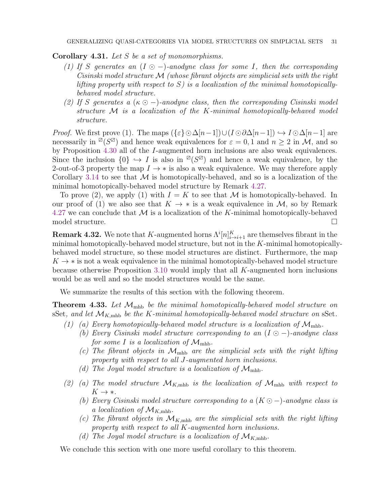Corollary 4.31. Let S be a set of monomorphisms.

- (1) If S generates an  $(I \odot -)$ -anodyne class for some I, then the corresponding Cisinski model structure M (whose fibrant objects are simplicial sets with the right lifting property with respect to  $S$ ) is a localization of the minimal homotopicallybehaved model structure.
- (2) If S generates a  $(\kappa \odot -)$ -anodyne class, then the corresponding Cisinski model structure M is a localization of the K-minimal homotopically-behaved model structure.

*Proof.* We first prove (1). The maps  $({\{\varepsilon\}}\odot\Delta[n-1])\cup (I\odot\partial\Delta[n-1]) \hookrightarrow I\odot\Delta[n-1]$  are necessarily in  $\mathbb{Z}(S^{\mathbb{Z}})$  and hence weak equivalences for  $\varepsilon = 0, 1$  and  $n \geq 2$  in M, and so by Proposition [4.30](#page-29-0) all of the I-augmented horn inclusions are also weak equivalences. Since the inclusion  $\{0\} \hookrightarrow I$  is also in  $\mathbb{Z}(S^{\mathbb{Z}})$  and hence a weak equivalence, by the 2-out-of-3 property the map  $I \rightarrow *$  is also a weak equivalence. We may therefore apply Corollary [3.14](#page-13-1) to see that  $\mathcal M$  is homotopically-behaved, and so is a localization of the minimal homotopically-behaved model structure by Remark [4.27.](#page-28-2)

To prove (2), we apply (1) with  $I = K$  to see that M is homotopically-behaved. In our proof of (1) we also see that  $K \to *$  is a weak equivalence in M, so by Remark [4.27](#page-28-2) we can conclude that  $M$  is a localization of the K-minimal homotopically-behaved model structure.

<span id="page-30-1"></span>**Remark 4.32.** We note that K-augmented horns  $\Lambda^{i}[n]_{i\to i+1}^{K}$  are themselves fibrant in the minimal homotopically-behaved model structure, but not in the  $K$ -minimal homotopicallybehaved model structure, so these model structures are distinct. Furthermore, the map  $K \to *$  is not a weak equivalence in the minimal homotopically-behaved model structure because otherwise Proposition [3.10](#page-12-0) would imply that all K-augmented horn inclusions would be as well and so the model structures would be the same.

We summarize the results of this section with the following theorem.

<span id="page-30-0"></span>**Theorem 4.33.** Let  $\mathcal{M}_{\text{mhb}}$  be the minimal homotopically-behaved model structure on sSet, and let  $\mathcal{M}_{K,\text{mhb}}$  be the K-minimal homotopically-behaved model structure on sSet.

- (1) (a) Every homotopically-behaved model structure is a localization of  $\mathcal{M}_{\text{mhb}}$ .
	- (b) Every Cisinski model structure corresponding to an  $(I \odot -)$ -anodyne class for some I is a localization of  $\mathcal{M}_{\text{mhb}}$ .
	- (c) The fibrant objects in  $\mathcal{M}_{\text{mhb}}$  are the simplicial sets with the right lifting property with respect to all J-augmented horn inclusions.
	- (d) The Joyal model structure is a localization of  $\mathcal{M}_{\text{mhb}}$ .
- (2) (a) The model structure  $\mathcal{M}_{K,\text{mhb}}$  is the localization of  $\mathcal{M}_{\text{mhb}}$  with respect to  $K \rightarrow *$ .
	- (b) Every Cisinski model structure corresponding to a  $(K \odot -)$ -anodyne class is a localization of  $\mathcal{M}_{K,\text{mhb}}$ .
	- (c) The fibrant objects in  $\mathcal{M}_{K,\text{mhb}}$  are the simplicial sets with the right lifting property with respect to all K-augmented horn inclusions.
	- (d) The Joyal model structure is a localization of  $\mathcal{M}_{K,\text{mbb}}$ .

We conclude this section with one more useful corollary to this theorem.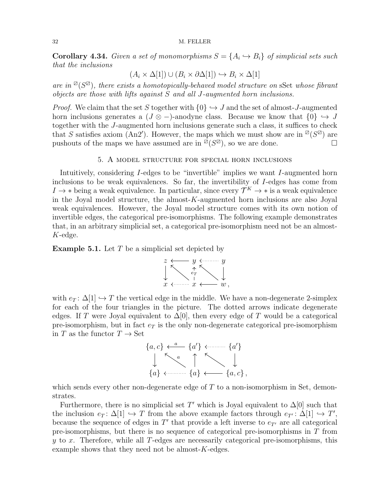**Corollary 4.34.** Given a set of monomorphisms  $S = \{A_i \hookrightarrow B_i\}$  of simplicial sets such that the inclusions

$$
(A_i \times \Delta[1]) \cup (B_i \times \partial \Delta[1]) \hookrightarrow B_i \times \Delta[1]
$$

are in  $\mathbb{Z}(S^{\mathbb{Z}})$ , there exists a homotopically-behaved model structure on sSet whose fibrant objects are those with lifts against S and all J-augmented horn inclusions.

*Proof.* We claim that the set S together with  $\{0\} \hookrightarrow J$  and the set of almost-J-augmented horn inclusions generates a ( $J \otimes -$ )-anodyne class. Because we know that  $\{0\} \hookrightarrow J$ together with the J-augmented horn inclusions generate such a class, it suffices to check that S satisfies axiom (An2'). However, the maps which we must show are in  $\mathbb{Z}(S^{\mathbb{Z}})$  are pushouts of the maps we have assumed are in  $\mathbb{Z}(S^{\mathbb{Z}})$ , so we are done.

## 5. A model structure for special horn inclusions

<span id="page-31-0"></span>Intuitively, considering I-edges to be "invertible" implies we want I-augmented horn inclusions to be weak equivalences. So far, the invertibility of I-edges has come from  $I \to *$  being a weak equivalence. In particular, since every  $\mathcal{T}^K \to *$  is a weak equivalence in the Joyal model structure, the almost- $K$ -augmented horn inclusions are also Joyal weak equivalences. However, the Joyal model structure comes with its own notion of invertible edges, the categorical pre-isomorphisms. The following example demonstrates that, in an arbitrary simplicial set, a categorical pre-isomorphism need not be an almost-K-edge.

<span id="page-31-1"></span>**Example 5.1.** Let  $T$  be a simplicial set depicted by



with  $e_T : \Delta[1] \hookrightarrow T$  the vertical edge in the middle. We have a non-degenerate 2-simplex for each of the four triangles in the picture. The dotted arrows indicate degenerate edges. If T were Joyal equivalent to  $\Delta[0]$ , then every edge of T would be a categorical pre-isomorphism, but in fact  $e_T$  is the only non-degenerate categorical pre-isomorphism in T as the functor  $T \to \text{Set}$ 



which sends every other non-degenerate edge of  $T$  to a non-isomorphism in Set, demonstrates.

Furthermore, there is no simplicial set T' which is Joyal equivalent to  $\Delta[0]$  such that the inclusion  $e_T: \Delta[1] \hookrightarrow T$  from the above example factors through  $e_{T'}: \Delta[1] \hookrightarrow T'$ , because the sequence of edges in  $T'$  that provide a left inverse to  $e_{T'}$  are all categorical pre-isomorphisms, but there is no sequence of categorical pre-isomorphisms in T from  $y$  to  $x$ . Therefore, while all T-edges are necessarily categorical pre-isomorphisms, this example shows that they need not be almost- $K$ -edges.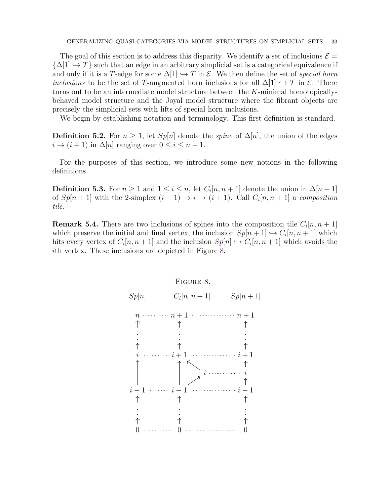The goal of this section is to address this disparity. We identify a set of inclusions  $\mathcal{E} =$  ${\{\Delta[1] \hookrightarrow T\}}$  such that an edge in an arbitrary simplicial set is a categorical equivalence if and only if it is a T-edge for some  $\Delta[1] \hookrightarrow T$  in E. We then define the set of special horn *inclusions* to be the set of T-augmented horn inclusions for all  $\Delta[1] \hookrightarrow T$  in  $\mathcal{E}$ . There turns out to be an intermediate model structure between the  $K$ -minimal homotopicallybehaved model structure and the Joyal model structure where the fibrant objects are precisely the simplicial sets with lifts of special horn inclusions.

We begin by establishing notation and terminology. This first definition is standard.

**Definition 5.2.** For  $n \geq 1$ , let  $Sp[n]$  denote the *spine* of  $\Delta[n]$ , the union of the edges  $i \to (i+1)$  in  $\Delta[n]$  ranging over  $0 \leq i \leq n-1$ .

For the purposes of this section, we introduce some new notions in the following definitions.

**Definition 5.3.** For  $n \geq 1$  and  $1 \leq i \leq n$ , let  $C_i[n, n+1]$  denote the union in  $\Delta[n+1]$ of  $Sp[n+1]$  with the 2-simplex  $(i-1) \rightarrow i \rightarrow (i+1)$ . Call  $C_i[n, n+1]$  a composition tile.

**Remark 5.4.** There are two inclusions of spines into the composition tile  $C_i[n, n+1]$ which preserve the initial and final vertex, the inclusion  $Sp[n+1] \hookrightarrow C_i[n, n+1]$  which hits every vertex of  $C_i[n, n+1]$  and the inclusion  $Sp[n] \hookrightarrow C_i[n, n+1]$  which avoids the ith vertex. These inclusions are depicted in Figure [8.](#page-32-0)

<span id="page-32-0"></span>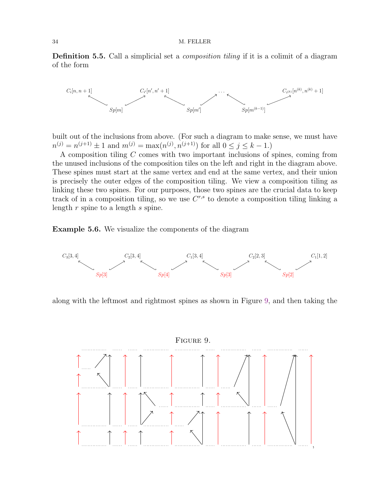Definition 5.5. Call a simplicial set a *composition tiling* if it is a colimit of a diagram of the form



built out of the inclusions from above. (For such a diagram to make sense, we must have  $n^{(j)} = n^{(j+1)} \pm 1$  and  $m^{(j)} = \max(n^{(j)}, n^{(j+1)})$  for all  $0 \le j \le k - 1$ .)

A composition tiling C comes with two important inclusions of spines, coming from the unused inclusions of the composition tiles on the left and right in the diagram above. These spines must start at the same vertex and end at the same vertex, and their union is precisely the outer edges of the composition tiling. We view a composition tiling as linking these two spines. For our purposes, those two spines are the crucial data to keep track of in a composition tiling, so we use  $C^{r,s}$  to denote a composition tiling linking a length  $r$  spine to a length  $s$  spine.

<span id="page-33-1"></span>Example 5.6. We visualize the components of the diagram



along with the leftmost and rightmost spines as shown in Figure [9,](#page-33-0) and then taking the

<span id="page-33-0"></span>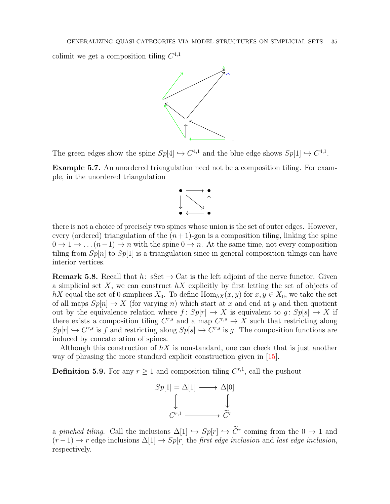colimit we get a composition tiling  $C^{4,1}$ 



The green edges show the spine  $Sp[4] \hookrightarrow C^{4,1}$  and the blue edge shows  $Sp[1] \hookrightarrow C^{4,1}$ .

Example 5.7. An unordered triangulation need not be a composition tiling. For example, in the unordered triangulation



there is not a choice of precisely two spines whose union is the set of outer edges. However, every (ordered) triangulation of the  $(n+1)$ -gon is a composition tiling, linking the spine  $0 \to 1 \to \ldots (n-1) \to n$  with the spine  $0 \to n$ . At the same time, not every composition tiling from  $Sp[n]$  to  $Sp[1]$  is a triangulation since in general composition tilings can have interior vertices.

<span id="page-34-0"></span>**Remark 5.8.** Recall that  $h: SSet \to Cat$  is the left adjoint of the nerve functor. Given a simplicial set X, we can construct  $hX$  explicitly by first letting the set of objects of hX equal the set of 0-simplices  $X_0$ . To define  $\text{Hom}_{hX}(x, y)$  for  $x, y \in X_0$ , we take the set of all maps  $Sp[n] \to X$  (for varying n) which start at x and end at y and then quotient out by the equivalence relation where  $f: Sp[r] \to X$  is equivalent to  $g: Sp[s] \to X$  if there exists a composition tiling  $C^{r,s}$  and a map  $C^{r,s} \to X$  such that restricting along  $Sp[r] \hookrightarrow C^{r,s}$  is f and restricting along  $Sp[s] \hookrightarrow C^{r,s}$  is g. The composition functions are induced by concatenation of spines.

Although this construction of  $hX$  is nonstandard, one can check that is just another way of phrasing the more standard explicit construction given in [\[15\]](#page-41-2).

**Definition 5.9.** For any  $r \geq 1$  and composition tiling  $C^{r,1}$ , call the pushout



a pinched tiling. Call the inclusions  $\Delta[1] \hookrightarrow Sp[r] \hookrightarrow C^r$  coming from the  $0 \to 1$  and  $(r-1) \rightarrow r$  edge inclusions  $\Delta[1] \rightarrow Sp[r]$  the *first edge inclusion* and *last edge inclusion*, respectively.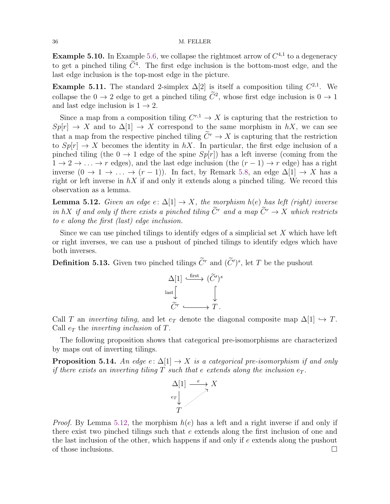**Example 5.10.** In Example [5.6,](#page-33-1) we collapse the rightmost arrow of  $C^{4,1}$  to a degeneracy to get a pinched tiling  $\tilde{C}^4$ . The first edge inclusion is the bottom-most edge, and the last edge inclusion is the top-most edge in the picture.

**Example 5.11.** The standard 2-simplex  $\Delta[2]$  is itself a composition tiling  $C^{2,1}$ . We collapse the  $0 \to 2$  edge to get a pinched tiling  $\tilde{C}^2$ , whose first edge inclusion is  $0 \to 1$ and last edge inclusion is  $1 \rightarrow 2$ .

Since a map from a composition tiling  $C^{r,1} \to X$  is capturing that the restriction to  $Sp[r] \to X$  and to  $\Delta[1] \to X$  correspond to the same morphism in hX, we can see that a map from the respective pinched tiling  $\widetilde{C}^r \to X$  is capturing that the restriction to  $Sp[r] \to X$  becomes the identity in hX. In particular, the first edge inclusion of a pinched tiling (the  $0 \rightarrow 1$  edge of the spine  $Sp[r]$ ) has a left inverse (coming from the  $1 \rightarrow 2 \rightarrow \ldots \rightarrow r$  edges), and the last edge inclusion (the  $(r-1) \rightarrow r$  edge) has a right inverse  $(0 \to 1 \to \dots \to (r-1))$ . In fact, by Remark [5.8,](#page-34-0) an edge  $\Delta[1] \to X$  has a right or left inverse in  $hX$  if and only it extends along a pinched tiling. We record this observation as a lemma.

<span id="page-35-0"></span>**Lemma 5.12.** Given an edge  $e: \Delta[1] \to X$ , the morphism  $h(e)$  has left (right) inverse in hX if and only if there exists a pinched tiling  $\widetilde{C}^r$  and a map  $\widetilde{C}^r \to X$  which restricts to e along the first (last) edge inclusion.

Since we can use pinched tilings to identify edges of a simplicial set  $X$  which have left or right inverses, we can use a pushout of pinched tilings to identify edges which have both inverses.

**Definition 5.13.** Given two pinched tilings  $\tilde{C}^r$  and  $(\tilde{C}')^s$ , let T be the pushout



Call T an *inverting tiling*, and let  $e_T$  denote the diagonal composite map  $\Delta[1] \hookrightarrow T$ . Call  $e_T$  the *inverting inclusion* of T.

The following proposition shows that categorical pre-isomorphisms are characterized by maps out of inverting tilings.

**Proposition 5.14.** An edge  $e: \Delta[1] \rightarrow X$  is a categorical pre-isomorphism if and only if there exists an inverting tiling  $T$  such that e extends along the inclusion  $e_T$ .



*Proof.* By Lemma [5.12,](#page-35-0) the morphism  $h(e)$  has a left and a right inverse if and only if there exist two pinched tilings such that  $e$  extends along the first inclusion of one and the last inclusion of the other, which happens if and only if e extends along the pushout of those inclusions.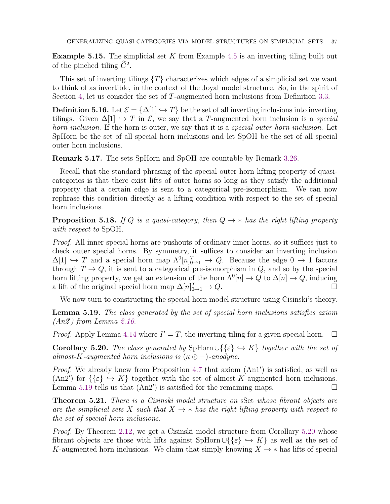**Example 5.15.** The simplicial set K from Example [4.5](#page-18-0) is an inverting tiling built out of the pinched tiling  $\tilde{C}^2$ .

This set of inverting tilings  $\{T\}$  characterizes which edges of a simplicial set we want to think of as invertible, in the context of the Joyal model structure. So, in the spirit of Section [4,](#page-17-0) let us consider the set of T-augmented horn inclusions from Definition [3.3.](#page-10-0)

**Definition 5.16.** Let  $\mathcal{E} = {\{\Delta[1] \hookrightarrow T\}}$  be the set of all inverting inclusions into inverting tilings. Given  $\Delta[1] \hookrightarrow T$  in  $\mathcal{E}$ , we say that a T-augmented horn inclusion is a special horn inclusion. If the horn is outer, we say that it is a special outer horn inclusion. Let SpHorn be the set of all special horn inclusions and let SpOH be the set of all special outer horn inclusions.

Remark 5.17. The sets SpHorn and SpOH are countable by Remark [3.26.](#page-16-2)

Recall that the standard phrasing of the special outer horn lifting property of quasicategories is that there exist lifts of outer horns so long as they satisfy the additional property that a certain edge is sent to a categorical pre-isomorphism. We can now rephrase this condition directly as a lifting condition with respect to the set of special horn inclusions.

**Proposition 5.18.** If Q is a quasi-category, then  $Q \rightarrow *$  has the right lifting property with respect to SpOH.

Proof. All inner special horns are pushouts of ordinary inner horns, so it suffices just to check outer special horns. By symmetry, it suffices to consider an inverting inclusion  $\Delta[1] \hookrightarrow T$  and a special horn map  $\Lambda^0[n]_{0\to 1}^T \to Q$ . Because the edge  $0 \to 1$  factors through  $T \to Q$ , it is sent to a categorical pre-isomorphism in Q, and so by the special horn lifting property, we get an extension of the horn  $\Lambda^0[n] \to Q$  to  $\Delta[n] \to Q$ , inducing a lift of the original special horn map  $\Delta[n]_{0\to1}^T \to Q$ .

We now turn to constructing the special horn model structure using Cisinski's theory.

<span id="page-36-0"></span>Lemma 5.19. The class generated by the set of special horn inclusions satisfies axiom (An2′ ) from Lemma [2.10.](#page-8-2)

*Proof.* Apply Lemma [4.14](#page-21-0) where  $I' = T$ , the inverting tiling for a given special horn.  $\Box$ 

<span id="page-36-1"></span>**Corollary 5.20.** The class generated by SpHorn  $\cup \{\{\varepsilon\} \to K\}$  together with the set of almost-K-augmented horn inclusions is  $(\kappa \odot -)$ -anodyne.

Proof. We already knew from Proposition [4.7](#page-18-2) that axiom  $(An1')$  is satisfied, as well as (An2<sup>'</sup>) for  $\{\{\varepsilon\} \hookrightarrow K\}$  together with the set of almost-K-augmented horn inclusions. Lemma [5.19](#page-36-0) tells us that  $(An2')$  is satisfied for the remaining maps.

<span id="page-36-2"></span>**Theorem 5.21.** There is a Cisinski model structure on sSet whose fibrant objects are are the simplicial sets X such that  $X \to *$  has the right lifting property with respect to the set of special horn inclusions.

Proof. By Theorem [2.12,](#page-9-1) we get a Cisinski model structure from Corollary [5.20](#page-36-1) whose fibrant objects are those with lifts against SpHorn  $\cup \{\{\varepsilon\} \hookrightarrow K\}$  as well as the set of K-augmented horn inclusions. We claim that simply knowing  $X \to *$  has lifts of special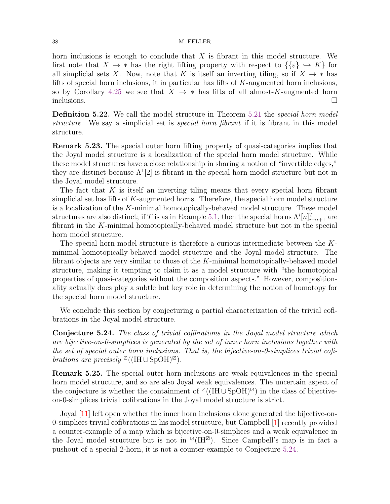horn inclusions is enough to conclude that  $X$  is fibrant in this model structure. We first note that  $X \to *$  has the right lifting property with respect to  $\{\{\varepsilon\} \to K\}$  for all simplicial sets X. Now, note that K is itself an inverting tiling, so if  $X \to *$  has lifts of special horn inclusions, it in particular has lifts of  $K$ -augmented horn inclusions, so by Corollary [4.25](#page-28-3) we see that  $X \to *$  has lifts of all almost-K-augmented horn  $\Box$ inclusions.  $\Box$ 

**Definition 5.22.** We call the model structure in Theorem [5.21](#page-36-2) the *special horn model* structure. We say a simplicial set is *special horn fibrant* if it is fibrant in this model structure.

<span id="page-37-1"></span>Remark 5.23. The special outer horn lifting property of quasi-categories implies that the Joyal model structure is a localization of the special horn model structure. While these model structures have a close relationship in sharing a notion of "invertible edges," they are distinct because  $\Lambda^1[2]$  is fibrant in the special horn model structure but not in the Joyal model structure.

The fact that  $K$  is itself an inverting tiling means that every special horn fibrant simplicial set has lifts of  $K$ -augmented horns. Therefore, the special horn model structure is a localization of the  $K$ -minimal homotopically-behaved model structure. These model structures are also distinct; if T is as in Example [5.1,](#page-31-1) then the special horns  $\Lambda^{i}[n]_{i\to i+1}^{T}$  are fibrant in the K-minimal homotopically-behaved model structure but not in the special horn model structure.

The special horn model structure is therefore a curious intermediate between the Kminimal homotopically-behaved model structure and the Joyal model structure. The fibrant objects are very similar to those of the K-minimal homotopically-behaved model structure, making it tempting to claim it as a model structure with "the homotopical properties of quasi-categories without the composition aspects." However, compositionality actually does play a subtle but key role in determining the notion of homotopy for the special horn model structure.

We conclude this section by conjecturing a partial characterization of the trivial cofibrations in the Joyal model structure.

<span id="page-37-0"></span>Conjecture 5.24. The class of trivial cofibrations in the Joyal model structure which are bijective-on-0-simplices is generated by the set of inner horn inclusions together with the set of special outer horn inclusions. That is, the bijective-on-0-simplices trivial cofibrations are precisely  $\mathbb{Z}((IH \cup SpOH)^{\mathbb{Z}})$ .

Remark 5.25. The special outer horn inclusions are weak equivalences in the special horn model structure, and so are also Joyal weak equivalences. The uncertain aspect of the conjecture is whether the containment of  $\mathbb{Z}((IH \cup SpOH)\mathbb{Z})$  in the class of bijectiveon-0-simplices trivial cofibrations in the Joyal model structure is strict.

Joyal [\[11\]](#page-40-11) left open whether the inner horn inclusions alone generated the bijective-on-0-simplices trivial cofibrations in his model structure, but Campbell [\[1\]](#page-40-12) recently provided a counter-example of a map which is bijective-on-0-simplices and a weak equivalence in the Joyal model structure but is not in  $\mathbb{Z}(\mathrm{IH}^{\mathbb{Z}})$ . Since Campbell's map is in fact a pushout of a special 2-horn, it is not a counter-example to Conjecture [5.24.](#page-37-0)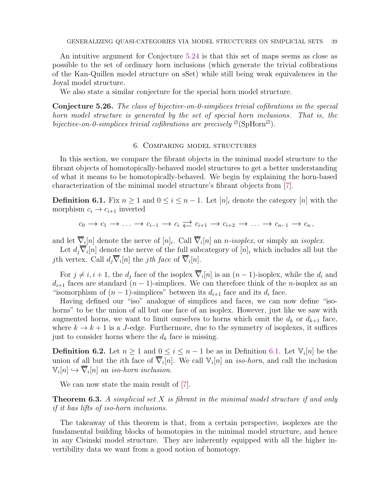An intuitive argument for Conjecture [5.24](#page-37-0) is that this set of maps seems as close as possible to the set of ordinary horn inclusions (which generate the trivial cofibrations of the Kan-Quillen model structure on sSet) while still being weak equivalences in the Joyal model structure.

We also state a similar conjecture for the special horn model structure.

Conjecture 5.26. The class of bijective-on-0-simplices trivial cofibrations in the special horn model structure is generated by the set of special horn inclusions. That is, the bijective-on-0-simplices trivial cofibrations are precisely  $\mathbb{Z}(\text{Sphfon}^{\mathbb{Z}})$ .

## 6. Comparing model structures

<span id="page-38-0"></span>In this section, we compare the fibrant objects in the minimal model structure to the fibrant objects of homotopically-behaved model structures to get a better understanding of what it means to be homotopically-behaved. We begin by explaining the horn-based characterization of the minimal model structure's fibrant objects from [\[7\]](#page-40-9).

<span id="page-38-1"></span>**Definition 6.1.** Fix  $n \geq 1$  and  $0 \leq i \leq n-1$ . Let  $[n]_i$  denote the category  $[n]$  with the morphism  $c_i \rightarrow c_{i+1}$  inverted

$$
c_0 \to c_1 \to \ldots \to c_{i-1} \to c_i \rightleftarrows c_{i+1} \to c_{i+2} \to \ldots \to c_{n-1} \to c_n,
$$

and let  $\nabla_i[n]$  denote the nerve of  $[n]_i$ . Call  $\nabla_i[n]$  an *n*-isoplex, or simply an isoplex.

Let  $d_j \nabla_i[n]$  denote the nerve of the full subcategory of  $[n]_i$  which includes all but the jth vertex. Call  $d_j \nabla_i[n]$  the jth face of  $\nabla_i[n]$ .

For  $j \neq i, i + 1$ , the  $d_j$  face of the isoplex  $\nabla_i[n]$  is an  $(n-1)$ -isoplex, while the  $d_i$  and  $d_{i+1}$  faces are standard  $(n-1)$ -simplices. We can therefore think of the *n*-isoplex as an "isomorphism of  $(n-1)$ -simplices" between its  $d_{i+1}$  face and its  $d_i$  face.

Having defined our "iso" analogue of simplices and faces, we can now define "isohorns" to be the union of all but one face of an isoplex. However, just like we saw with augmented horns, we want to limit ourselves to horns which omit the  $d_k$  or  $d_{k+1}$  face, where  $k \to k+1$  is a J-edge. Furthermore, due to the symmetry of isoplexes, it suffices just to consider horns where the  $d_k$  face is missing.

**Definition 6.2.** Let  $n \geq 1$  and  $0 \leq i \leq n-1$  be as in Definition [6.1.](#page-38-1) Let  $\mathbb{V}_i[n]$  be the union of all but the *i*th face of  $\overline{\nabla}_i[n]$ . We call  $\mathbb{V}_i[n]$  an *iso-horn*, and call the inclusion  $\mathbb{V}_i[n] \hookrightarrow \overline{\nabla}_i[n]$  an *iso-horn inclusion*.

We can now state the main result of  $[7]$ .

**Theorem 6.3.** A simplicial set  $X$  is fibrant in the minimal model structure if and only if it has lifts of iso-horn inclusions.

The takeaway of this theorem is that, from a certain perspective, isoplexes are the fundamental building blocks of homotopies in the minimal model structure, and hence in any Cisinski model structure. They are inherently equipped with all the higher invertibility data we want from a good notion of homotopy.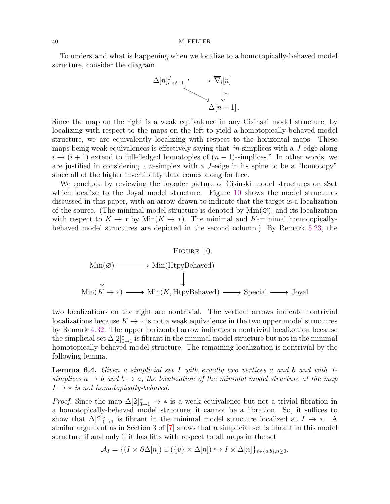To understand what is happening when we localize to a homotopically-behaved model structure, consider the diagram



Since the map on the right is a weak equivalence in any Cisinski model structure, by localizing with respect to the maps on the left to yield a homotopically-behaved model structure, we are equivalently localizing with respect to the horizontal maps. These maps being weak equivalences is effectively saying that "n-simplices with a J-edge along  $i \to (i+1)$  extend to full-fledged homotopies of  $(n-1)$ -simplices." In other words, we are justified in considering a *n*-simplex with a  $J$ -edge in its spine to be a "homotopy" since all of the higher invertibility data comes along for free.

We conclude by reviewing the broader picture of Cisinski model structures on sSet which localize to the Joyal model structure. Figure [10](#page-39-0) shows the model structures discussed in this paper, with an arrow drawn to indicate that the target is a localization of the source. (The minimal model structure is denoted by  $Min(\emptyset)$ , and its localization with respect to  $K \to *$  by Min $(K \to *)$ . The minimal and K-minimal homotopicallybehaved model structures are depicted in the second column.) By Remark [5.23,](#page-37-1) the

#### <span id="page-39-0"></span>FIGURE 10.



two localizations on the right are nontrivial. The vertical arrows indicate nontrivial localizations because  $K \to *$  is not a weak equivalence in the two upper model structures by Remark [4.32.](#page-30-1) The upper horizontal arrow indicates a nontrivial localization because the simplicial set  $\Delta[2]^*_{0\to 1}$  is fibrant in the minimal model structure but not in the minimal homotopically-behaved model structure. The remaining localization is nontrivial by the following lemma.

**Lemma 6.4.** Given a simplicial set I with exactly two vertices a and b and with 1simplices  $a \rightarrow b$  and  $b \rightarrow a$ , the localization of the minimal model structure at the map  $I \rightarrow *$  is not homotopically-behaved.

*Proof.* Since the map  $\Delta[2]^*_{0 \to 1} \to *$  is a weak equivalence but not a trivial fibration in a homotopically-behaved model structure, it cannot be a fibration. So, it suffices to show that  $\Delta[2]^*_{0\to 1}$  is fibrant in the minimal model structure localized at  $I \to *$ . A similar argument as in Section 3 of [\[7\]](#page-40-9) shows that a simplicial set is fibrant in this model structure if and only if it has lifts with respect to all maps in the set

$$
\mathcal{A}_I = \{(I \times \partial \Delta[n]) \cup (\{v\} \times \Delta[n]) \hookrightarrow I \times \Delta[n]\}_{v \in \{a,b\}, n \ge 0}.
$$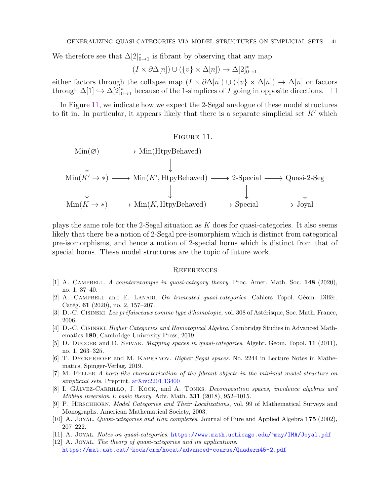We therefore see that  $\Delta[2]^*_{0\rightarrow 1}$  is fibrant by observing that any map

$$
(I \times \partial \Delta[n]) \cup (\{v\} \times \Delta[n]) \to \Delta[2]_{0 \to 1}^*
$$

either factors through the collapse map  $(I \times \partial \Delta[n]) \cup (\{v\} \times \Delta[n]) \to \Delta[n]$  or factors through  $\Delta[1] \hookrightarrow \Delta[2]^*_{0\to 1}$  because of the 1-simplices of I going in opposite directions.  $\square$ 

In Figure [11,](#page-40-13) we indicate how we expect the 2-Segal analogue of these model structures to fit in. In particular, it appears likely that there is a separate simplicial set  $K'$  which

## <span id="page-40-13"></span>FIGURE 11.



plays the same role for the 2-Segal situation as  $K$  does for quasi-categories. It also seems likely that there be a notion of 2-Segal pre-isomorphism which is distinct from categorical pre-isomorphisms, and hence a notion of 2-special horns which is distinct from that of special horns. These model structures are the topic of future work.

## <span id="page-40-0"></span>**REFERENCES**

- <span id="page-40-12"></span>[1] A. CAMPBELL. A counterexample in quasi-category theory. Proc. Amer. Math. Soc. 148 (2020), no. 1, 37–40.
- <span id="page-40-7"></span>[2] A. CAMPBELL and E. LANARI. On truncated quasi-categories. Cahiers Topol. Géom. Différ. Catég. 61 (2020), no. 2, 157–207.
- <span id="page-40-8"></span><span id="page-40-6"></span>[3] D.-C. CISINSKI. Les préfaisceaux comme type d'homotopie, vol. 308 of Astérisque, Soc. Math. France, 2006.
- [4] D.-C. Cisinski. Higher Categories and Homotopical Algebra, Cambridge Studies in Advanced Mathematics 180, Cambridge University Press, 2019.
- <span id="page-40-5"></span>[5] D. DUGGER and D. SPIVAK. Mapping spaces in quasi-categories. Algebr. Geom. Topol. 11 (2011), no. 1, 263–325.
- <span id="page-40-1"></span>[6] T. Dyckerhoff and M. Kapranov. Higher Segal spaces. No. 2244 in Lecture Notes in Mathematics, Spinger-Verlag, 2019.
- <span id="page-40-9"></span>[7] M. Feller A horn-like characterization of the fibrant objects in the minimal model structure on simplicial sets. Preprint. [arXiv:2201.13400](http://arxiv.org/pdf/2201.13400)
- <span id="page-40-2"></span>[8] I. GÁLVEZ-CARRILLO, J. KOCK, and A. TONKS. Decomposition spaces, incidence algebras and Möbius inversion I: basic theory. Adv. Math.  $331$  (2018), 952-1015.
- <span id="page-40-4"></span>[9] P. Hirschhorn. Model Categories and Their Localizations, vol. 99 of Mathematical Surveys and Monographs. American Mathematical Society, 2003.
- <span id="page-40-11"></span><span id="page-40-10"></span>[10] A. JOYAL. *Quasi-categories and Kan complexes*. Journal of Pure and Applied Algebra 175 (2002), 207–222.
- <span id="page-40-3"></span>[11] A. Joyal. Notes on quasi-categories. <https://www.math.uchicago.edu/~may/IMA/Joyal.pdf>
- [12] A. JOYAL. The theory of quasi-categories and its applications. <https://mat.uab.cat/~kock/crm/hocat/advanced-course/Quadern45-2.pdf>